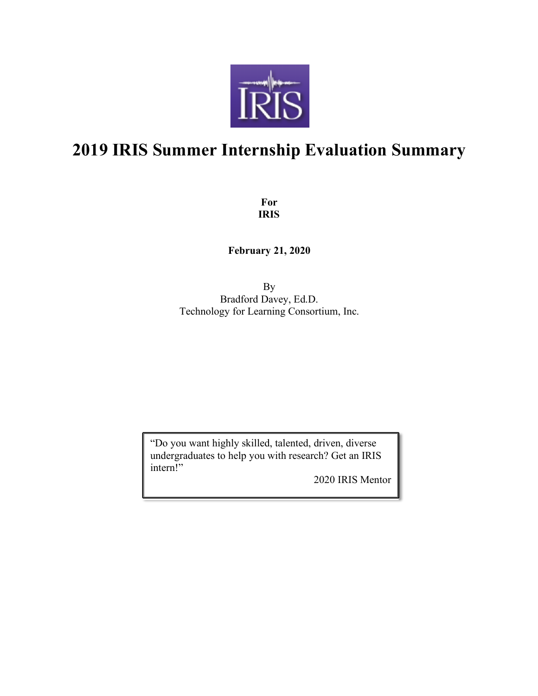

# **2019 IRIS Summer Internship Evaluation Summary**

**For IRIS**

**February 21, 2020**

By Bradford Davey, Ed.D. Technology for Learning Consortium, Inc.

"Do you want highly skilled, talented, driven, diverse undergraduates to help you with research? Get an IRIS intern!"

2020 IRIS Mentor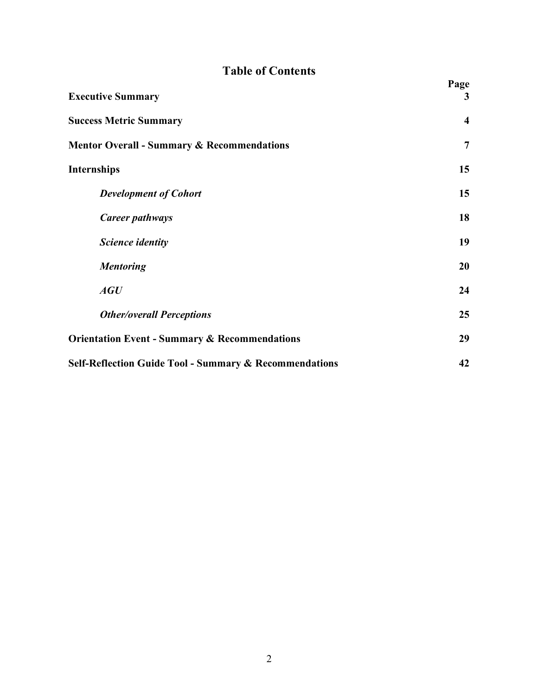# **Table of Contents**

| <b>Executive Summary</b>                                          | Page<br>3               |
|-------------------------------------------------------------------|-------------------------|
| <b>Success Metric Summary</b>                                     | $\overline{\mathbf{4}}$ |
| <b>Mentor Overall - Summary &amp; Recommendations</b>             | $\overline{7}$          |
| <b>Internships</b>                                                | 15                      |
| <b>Development of Cohort</b>                                      | 15                      |
| Career pathways                                                   | 18                      |
| Science identity                                                  | 19                      |
| <b>Mentoring</b>                                                  | 20                      |
| AGU                                                               | 24                      |
| <b>Other/overall Perceptions</b>                                  | 25                      |
| <b>Orientation Event - Summary &amp; Recommendations</b>          | 29                      |
| <b>Self-Reflection Guide Tool - Summary &amp; Recommendations</b> | 42                      |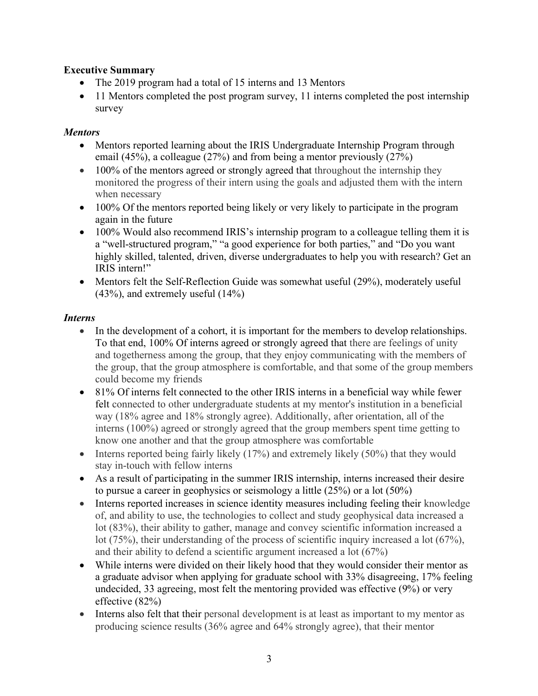# **Executive Summary**

- The 2019 program had a total of 15 interns and 13 Mentors
- 11 Mentors completed the post program survey, 11 interns completed the post internship survey

# *Mentors*

- Mentors reported learning about the IRIS Undergraduate Internship Program through email (45%), a colleague (27%) and from being a mentor previously (27%)
- 100% of the mentors agreed or strongly agreed that throughout the internship they monitored the progress of their intern using the goals and adjusted them with the intern when necessary
- 100% Of the mentors reported being likely or very likely to participate in the program again in the future
- 100% Would also recommend IRIS's internship program to a colleague telling them it is a "well-structured program," "a good experience for both parties," and "Do you want highly skilled, talented, driven, diverse undergraduates to help you with research? Get an IRIS intern!"
- Mentors felt the Self-Reflection Guide was somewhat useful (29%), moderately useful  $(43\%)$ , and extremely useful  $(14\%)$

# *Interns*

- In the development of a cohort, it is important for the members to develop relationships. To that end, 100% Of interns agreed or strongly agreed that there are feelings of unity and togetherness among the group, that they enjoy communicating with the members of the group, that the group atmosphere is comfortable, and that some of the group members could become my friends
- 81% Of interns felt connected to the other IRIS interns in a beneficial way while fewer felt connected to other undergraduate students at my mentor's institution in a beneficial way (18% agree and 18% strongly agree). Additionally, after orientation, all of the interns (100%) agreed or strongly agreed that the group members spent time getting to know one another and that the group atmosphere was comfortable
- Interns reported being fairly likely (17%) and extremely likely (50%) that they would stay in-touch with fellow interns
- As a result of participating in the summer IRIS internship, interns increased their desire to pursue a career in geophysics or seismology a little (25%) or a lot (50%)
- Interns reported increases in science identity measures including feeling their knowledge of, and ability to use, the technologies to collect and study geophysical data increased a lot (83%), their ability to gather, manage and convey scientific information increased a lot (75%), their understanding of the process of scientific inquiry increased a lot (67%), and their ability to defend a scientific argument increased a lot (67%)
- While interns were divided on their likely hood that they would consider their mentor as a graduate advisor when applying for graduate school with 33% disagreeing, 17% feeling undecided, 33 agreeing, most felt the mentoring provided was effective (9%) or very effective (82%)
- Interns also felt that their personal development is at least as important to my mentor as producing science results (36% agree and 64% strongly agree), that their mentor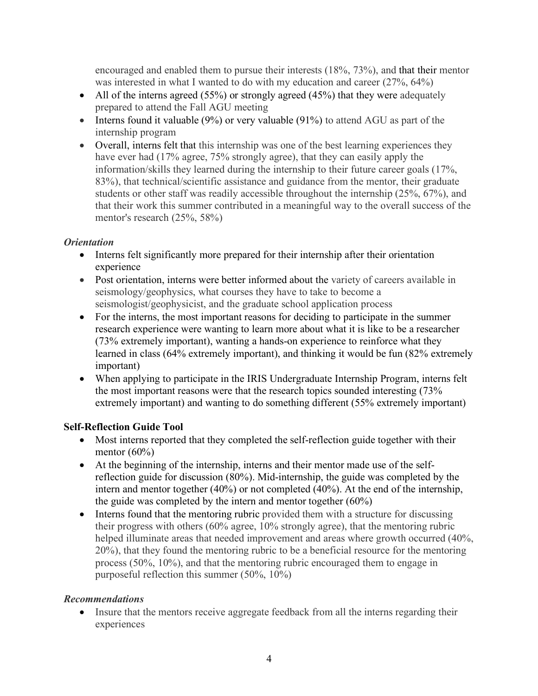encouraged and enabled them to pursue their interests (18%, 73%), and that their mentor was interested in what I wanted to do with my education and career (27%, 64%)

- All of the interns agreed (55%) or strongly agreed (45%) that they were adequately prepared to attend the Fall AGU meeting
- Interns found it valuable (9%) or very valuable (91%) to attend AGU as part of the internship program
- Overall, interns felt that this internship was one of the best learning experiences they have ever had (17% agree, 75% strongly agree), that they can easily apply the information/skills they learned during the internship to their future career goals (17%, 83%), that technical/scientific assistance and guidance from the mentor, their graduate students or other staff was readily accessible throughout the internship (25%, 67%), and that their work this summer contributed in a meaningful way to the overall success of the mentor's research (25%, 58%)

# *Orientation*

- Interns felt significantly more prepared for their internship after their orientation experience
- Post orientation, interns were better informed about the variety of careers available in seismology/geophysics, what courses they have to take to become a seismologist/geophysicist, and the graduate school application process
- For the interns, the most important reasons for deciding to participate in the summer research experience were wanting to learn more about what it is like to be a researcher (73% extremely important), wanting a hands-on experience to reinforce what they learned in class (64% extremely important), and thinking it would be fun (82% extremely important)
- When applying to participate in the IRIS Undergraduate Internship Program, interns felt the most important reasons were that the research topics sounded interesting (73% extremely important) and wanting to do something different (55% extremely important)

# **Self-Reflection Guide Tool**

- Most interns reported that they completed the self-reflection guide together with their mentor  $(60\%)$
- At the beginning of the internship, interns and their mentor made use of the selfreflection guide for discussion (80%). Mid-internship, the guide was completed by the intern and mentor together (40%) or not completed (40%). At the end of the internship, the guide was completed by the intern and mentor together (60%)
- Interns found that the mentoring rubric provided them with a structure for discussing their progress with others (60% agree, 10% strongly agree), that the mentoring rubric helped illuminate areas that needed improvement and areas where growth occurred (40%, 20%), that they found the mentoring rubric to be a beneficial resource for the mentoring process (50%, 10%), and that the mentoring rubric encouraged them to engage in purposeful reflection this summer (50%, 10%)

# *Recommendations*

• Insure that the mentors receive aggregate feedback from all the interns regarding their experiences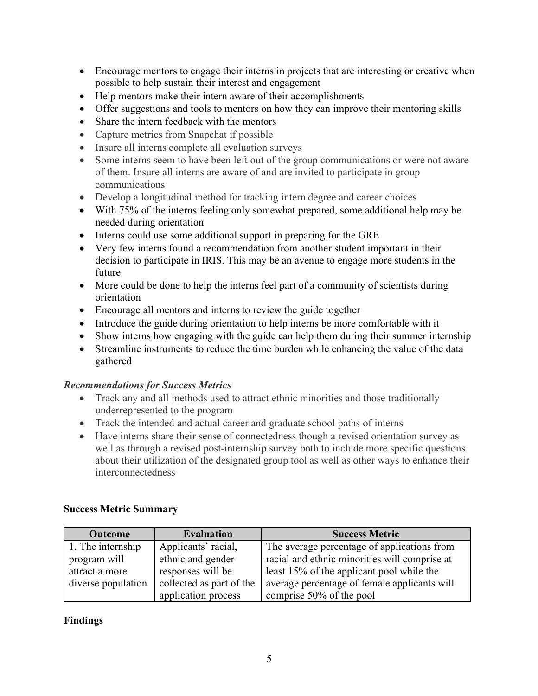- Encourage mentors to engage their interns in projects that are interesting or creative when possible to help sustain their interest and engagement
- Help mentors make their intern aware of their accomplishments
- Offer suggestions and tools to mentors on how they can improve their mentoring skills
- Share the intern feedback with the mentors
- Capture metrics from Snapchat if possible
- Insure all interns complete all evaluation surveys
- Some interns seem to have been left out of the group communications or were not aware of them. Insure all interns are aware of and are invited to participate in group communications
- Develop a longitudinal method for tracking intern degree and career choices
- With 75% of the interns feeling only somewhat prepared, some additional help may be needed during orientation
- Interns could use some additional support in preparing for the GRE
- Very few interns found a recommendation from another student important in their decision to participate in IRIS. This may be an avenue to engage more students in the future
- More could be done to help the interns feel part of a community of scientists during orientation
- Encourage all mentors and interns to review the guide together
- Introduce the guide during orientation to help interns be more comfortable with it
- Show interns how engaging with the guide can help them during their summer internship
- Streamline instruments to reduce the time burden while enhancing the value of the data gathered

#### *Recommendations for Success Metrics*

- Track any and all methods used to attract ethnic minorities and those traditionally underrepresented to the program
- Track the intended and actual career and graduate school paths of interns
- Have interns share their sense of connectedness though a revised orientation survey as well as through a revised post-internship survey both to include more specific questions about their utilization of the designated group tool as well as other ways to enhance their interconnectedness

#### **Success Metric Summary**

| <b>Outcome</b>     | <b>Evaluation</b>        | <b>Success Metric</b>                         |
|--------------------|--------------------------|-----------------------------------------------|
| 1. The internship  | Applicants' racial,      | The average percentage of applications from   |
| program will       | ethnic and gender        | racial and ethnic minorities will comprise at |
| attract a more     | responses will be        | least 15% of the applicant pool while the     |
| diverse population | collected as part of the | average percentage of female applicants will  |
|                    | application process      | comprise 50% of the pool                      |

#### **Findings**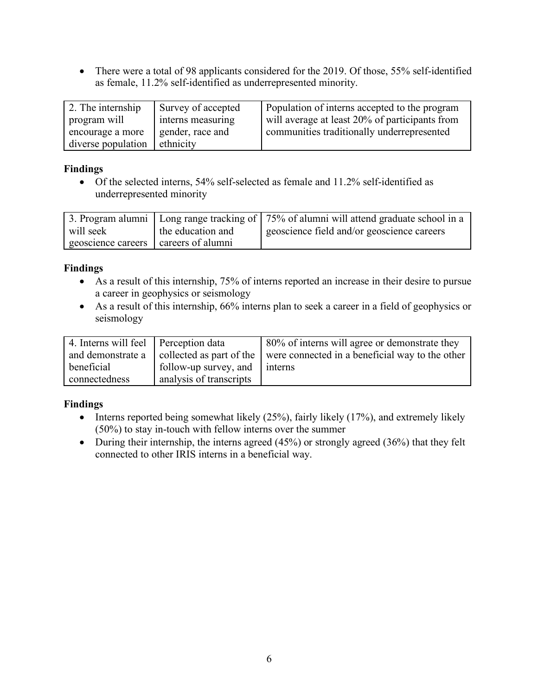• There were a total of 98 applicants considered for the 2019. Of those, 55% self-identified as female, 11.2% self-identified as underrepresented minority.

| 2. The internship  | Survey of accepted | Population of interns accepted to the program  |
|--------------------|--------------------|------------------------------------------------|
| program will       | interns measuring  | will average at least 20% of participants from |
| encourage a more   | gender, race and   | communities traditionally underrepresented     |
| diverse population | ethnicity          |                                                |

### **Findings**

• Of the selected interns, 54% self-selected as female and 11.2% self-identified as underrepresented minority

|                    |                   | 3. Program alumni   Long range tracking of   75% of alumni will attend graduate school in a |
|--------------------|-------------------|---------------------------------------------------------------------------------------------|
| will seek          | the education and | geoscience field and/or geoscience careers                                                  |
| geoscience careers | careers of alumni |                                                                                             |

# **Findings**

- As a result of this internship, 75% of interns reported an increase in their desire to pursue a career in geophysics or seismology
- As a result of this internship, 66% interns plan to seek a career in a field of geophysics or seismology

| 4. Interns will feel Perception data |                                            | 80% of interns will agree or demonstrate they   |
|--------------------------------------|--------------------------------------------|-------------------------------------------------|
|                                      | and demonstrate a collected as part of the | were connected in a beneficial way to the other |
| beneficial                           | follow-up survey, and                      | $\blacksquare$ interns                          |
| connectedness                        | analysis of transcripts                    |                                                 |

# **Findings**

- Interns reported being somewhat likely  $(25\%)$ , fairly likely  $(17\%)$ , and extremely likely (50%) to stay in-touch with fellow interns over the summer
- During their internship, the interns agreed  $(45%)$  or strongly agreed  $(36%)$  that they felt connected to other IRIS interns in a beneficial way.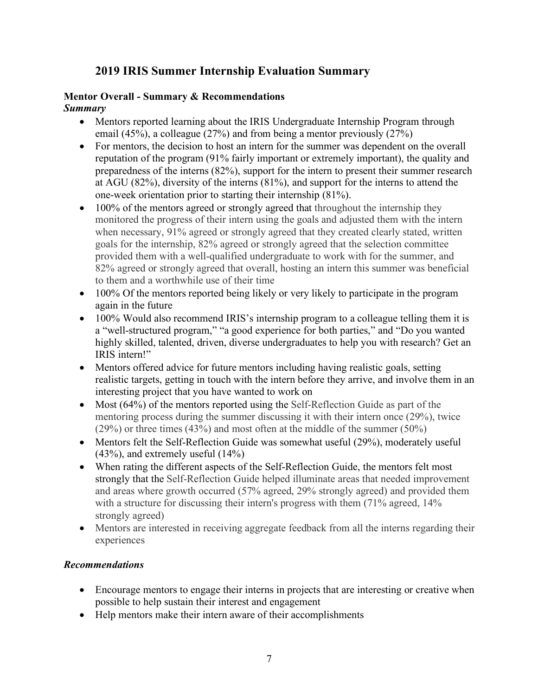# **2019 IRIS Summer Internship Evaluation Summary**

# **Mentor Overall - Summary & Recommendations**

*Summary*

- Mentors reported learning about the IRIS Undergraduate Internship Program through email (45%), a colleague (27%) and from being a mentor previously (27%)
- For mentors, the decision to host an intern for the summer was dependent on the overall reputation of the program (91% fairly important or extremely important), the quality and preparedness of the interns (82%), support for the intern to present their summer research at AGU (82%), diversity of the interns (81%), and support for the interns to attend the one-week orientation prior to starting their internship (81%).
- 100% of the mentors agreed or strongly agreed that throughout the internship they monitored the progress of their intern using the goals and adjusted them with the intern when necessary, 91% agreed or strongly agreed that they created clearly stated, written goals for the internship, 82% agreed or strongly agreed that the selection committee provided them with a well-qualified undergraduate to work with for the summer, and 82% agreed or strongly agreed that overall, hosting an intern this summer was beneficial to them and a worthwhile use of their time
- 100% Of the mentors reported being likely or very likely to participate in the program again in the future
- 100% Would also recommend IRIS's internship program to a colleague telling them it is a "well-structured program," "a good experience for both parties," and "Do you wanted highly skilled, talented, driven, diverse undergraduates to help you with research? Get an IRIS intern!"
- Mentors offered advice for future mentors including having realistic goals, setting realistic targets, getting in touch with the intern before they arrive, and involve them in an interesting project that you have wanted to work on
- Most (64%) of the mentors reported using the Self-Reflection Guide as part of the mentoring process during the summer discussing it with their intern once (29%), twice  $(29\%)$  or three times  $(43\%)$  and most often at the middle of the summer  $(50\%)$
- Mentors felt the Self-Reflection Guide was somewhat useful (29%), moderately useful (43%), and extremely useful (14%)
- When rating the different aspects of the Self-Reflection Guide, the mentors felt most strongly that the Self-Reflection Guide helped illuminate areas that needed improvement and areas where growth occurred (57% agreed, 29% strongly agreed) and provided them with a structure for discussing their intern's progress with them  $(71\%$  agreed, 14% strongly agreed)
- Mentors are interested in receiving aggregate feedback from all the interns regarding their experiences

# *Recommendations*

- Encourage mentors to engage their interns in projects that are interesting or creative when possible to help sustain their interest and engagement
- Help mentors make their intern aware of their accomplishments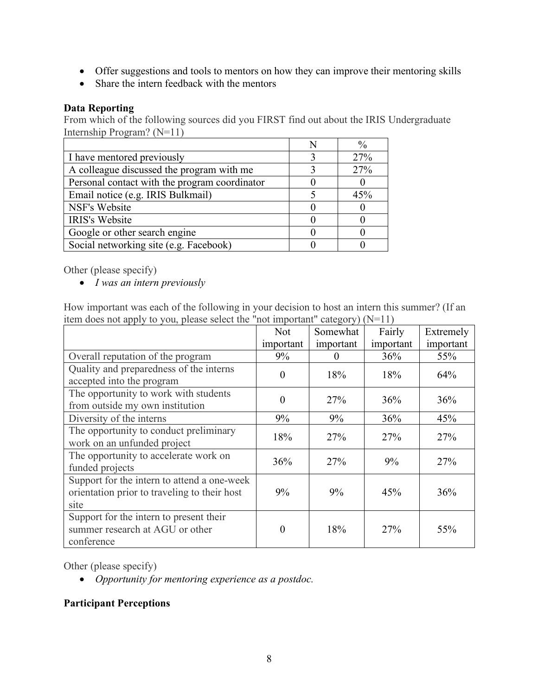- Offer suggestions and tools to mentors on how they can improve their mentoring skills
- Share the intern feedback with the mentors

### **Data Reporting**

From which of the following sources did you FIRST find out about the IRIS Undergraduate Internship Program? (N=11)

|                                               | $\frac{0}{0}$ |
|-----------------------------------------------|---------------|
| I have mentored previously                    | 27%           |
| A colleague discussed the program with me     | 27%           |
| Personal contact with the program coordinator |               |
| Email notice (e.g. IRIS Bulkmail)             | 45%           |
| NSF's Website                                 |               |
| <b>IRIS's Website</b>                         |               |
| Google or other search engine                 |               |
| Social networking site (e.g. Facebook)        |               |

Other (please specify)

• *I was an intern previously*

How important was each of the following in your decision to host an intern this summer? (If an item does not apply to you, please select the "not important" category) (N=11)

|                                                                                                     | <b>Not</b> | Somewhat  | Fairly    | Extremely |
|-----------------------------------------------------------------------------------------------------|------------|-----------|-----------|-----------|
|                                                                                                     | important  | important | important | important |
| Overall reputation of the program                                                                   | 9%         | $\theta$  | 36%       | 55%       |
| Quality and preparedness of the interns<br>accepted into the program                                | $\theta$   | 18%       | 18%       | 64%       |
| The opportunity to work with students<br>from outside my own institution                            | $\theta$   | 27%       | 36%       | 36%       |
| Diversity of the interns                                                                            | 9%         | 9%        | 36%       | 45%       |
| The opportunity to conduct preliminary<br>work on an unfunded project                               | 18%        | 27%       | 27%       | 27%       |
| The opportunity to accelerate work on<br>funded projects                                            | 36%        | 27%       | 9%        | 27%       |
| Support for the intern to attend a one-week<br>orientation prior to traveling to their host<br>site | 9%         | 9%        | 45%       | 36%       |
| Support for the intern to present their<br>summer research at AGU or other<br>conference            | $_{0}$     | 18%       | 27%       | 55%       |

Other (please specify)

• *Opportunity for mentoring experience as a postdoc.*

# **Participant Perceptions**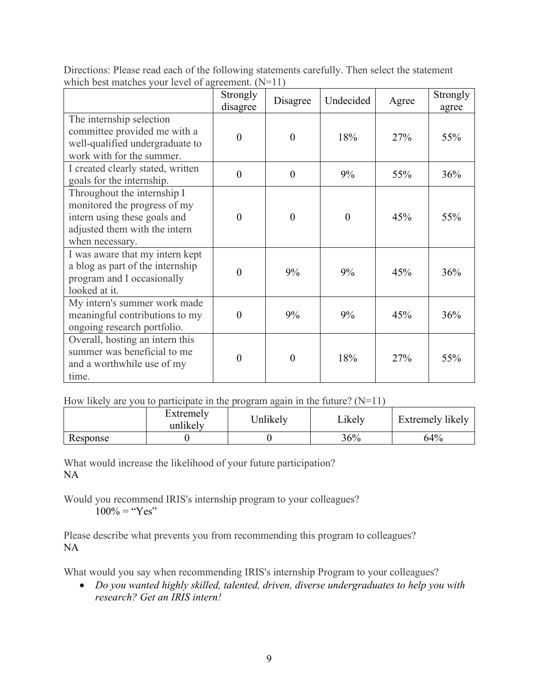|                                                                                                                                                 | Strongly<br>disagree | Disagree       | Undecided | Agree | Strongly<br>agree |
|-------------------------------------------------------------------------------------------------------------------------------------------------|----------------------|----------------|-----------|-------|-------------------|
| The internship selection<br>committee provided me with a<br>well-qualified undergraduate to<br>work with for the summer.                        | $\theta$             | $\theta$       | 18%       | 27%   | 55%               |
| I created clearly stated, written<br>goals for the internship.                                                                                  | $\theta$             | $\overline{0}$ | 9%        | 55%   | 36%               |
| Throughout the internship I<br>monitored the progress of my<br>intern using these goals and<br>adjusted them with the intern<br>when necessary. | $\Omega$             | $\theta$       | $\theta$  | 45%   | 55%               |
| I was aware that my intern kept<br>a blog as part of the internship<br>program and I occasionally<br>looked at it.                              | $\Omega$             | 9%             | 9%        | 45%   | 36%               |
| My intern's summer work made<br>meaningful contributions to my<br>ongoing research portfolio.                                                   | $\theta$             | 9%             | 9%        | 45%   | 36%               |
| Overall, hosting an intern this<br>summer was beneficial to me<br>and a worthwhile use of my<br>time.                                           | $\theta$             | $\theta$       | 18%       | 27%   | 55%               |

Directions: Please read each of the following statements carefully. Then select the statement which best matches your level of agreement. (N=11)

How likely are you to participate in the program again in the future?  $(N=11)$ 

|          | Extremely<br>unlikely | Jnlikely | Likely | Extremely likely |
|----------|-----------------------|----------|--------|------------------|
| Response |                       |          | 36%    | 64%              |

What would increase the likelihood of your future participation? NA

Would you recommend IRIS's internship program to your colleagues?  $100\% =$  "Yes"

Please describe what prevents you from recommending this program to colleagues? NA

What would you say when recommending IRIS's internship Program to your colleagues?

• *Do you wanted highly skilled, talented, driven, diverse undergraduates to help you with research? Get an IRIS intern!*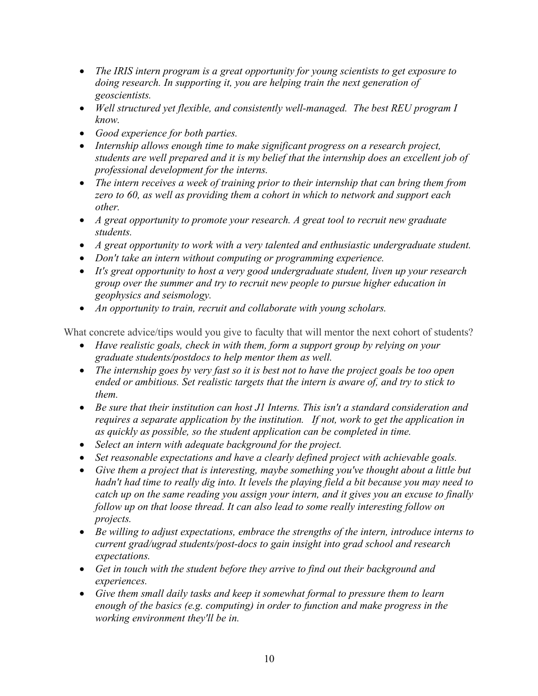- *The IRIS intern program is a great opportunity for young scientists to get exposure to doing research. In supporting it, you are helping train the next generation of geoscientists.*
- *Well structured yet flexible, and consistently well-managed. The best REU program I know.*
- *Good experience for both parties.*
- *Internship allows enough time to make significant progress on a research project, students are well prepared and it is my belief that the internship does an excellent job of professional development for the interns.*
- *The intern receives a week of training prior to their internship that can bring them from zero to 60, as well as providing them a cohort in which to network and support each other.*
- *A great opportunity to promote your research. A great tool to recruit new graduate students.*
- *A great opportunity to work with a very talented and enthusiastic undergraduate student.*
- *Don't take an intern without computing or programming experience.*
- *It's great opportunity to host a very good undergraduate student, liven up your research group over the summer and try to recruit new people to pursue higher education in geophysics and seismology.*
- *An opportunity to train, recruit and collaborate with young scholars.*

What concrete advice/tips would you give to faculty that will mentor the next cohort of students?

- *Have realistic goals, check in with them, form a support group by relying on your graduate students/postdocs to help mentor them as well.*
- *The internship goes by very fast so it is best not to have the project goals be too open ended or ambitious. Set realistic targets that the intern is aware of, and try to stick to them.*
- *Be sure that their institution can host J1 Interns. This isn't a standard consideration and requires a separate application by the institution. If not, work to get the application in as quickly as possible, so the student application can be completed in time.*
- *Select an intern with adequate background for the project.*
- *Set reasonable expectations and have a clearly defined project with achievable goals.*
- *Give them a project that is interesting, maybe something you've thought about a little but hadn't had time to really dig into. It levels the playing field a bit because you may need to catch up on the same reading you assign your intern, and it gives you an excuse to finally follow up on that loose thread. It can also lead to some really interesting follow on projects.*
- *Be willing to adjust expectations, embrace the strengths of the intern, introduce interns to current grad/ugrad students/post-docs to gain insight into grad school and research expectations.*
- *Get in touch with the student before they arrive to find out their background and experiences.*
- *Give them small daily tasks and keep it somewhat formal to pressure them to learn enough of the basics (e.g. computing) in order to function and make progress in the working environment they'll be in.*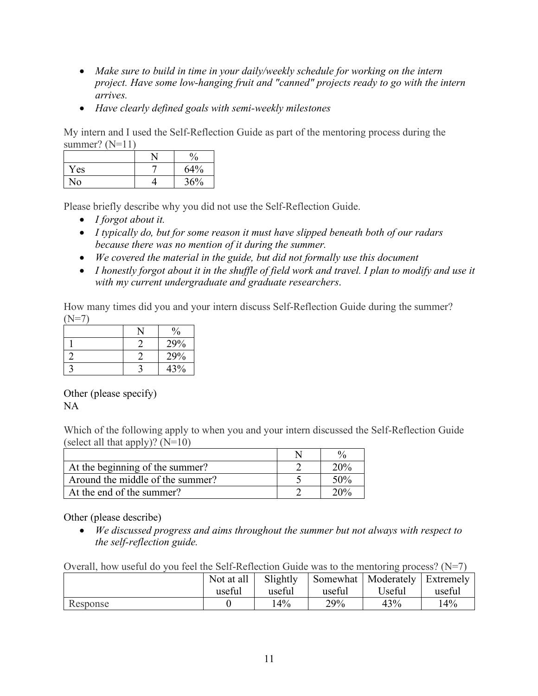- *Make sure to build in time in your daily/weekly schedule for working on the intern project. Have some low-hanging fruit and "canned" projects ready to go with the intern arrives.*
- *Have clearly defined goals with semi-weekly milestones*

My intern and I used the Self-Reflection Guide as part of the mentoring process during the summer?  $(N=11)$ 

|          | $\frac{0}{0}$ |
|----------|---------------|
| Yes      | 64%           |
| $\rm No$ | 36%           |

Please briefly describe why you did not use the Self-Reflection Guide.

- *I forgot about it.*
- *I typically do, but for some reason it must have slipped beneath both of our radars because there was no mention of it during the summer.*
- *We covered the material in the guide, but did not formally use this document*
- *I honestly forgot about it in the shuffle of field work and travel. I plan to modify and use it with my current undergraduate and graduate researchers*.

How many times did you and your intern discuss Self-Reflection Guide during the summer? (N=7)

|  | $\frac{0}{0}$ |
|--|---------------|
|  | 29%           |
|  | 29%           |
|  | 43%           |

Other (please specify) NA

Which of the following apply to when you and your intern discussed the Self-Reflection Guide (select all that apply)? (N=10)

| At the beginning of the summer?  | 20%    |
|----------------------------------|--------|
| Around the middle of the summer? | $50\%$ |
| At the end of the summer?        | 20%    |

Other (please describe)

• *We discussed progress and aims throughout the summer but not always with respect to the self-reflection guide.*

Overall, how useful do you feel the Self-Reflection Guide was to the mentoring process?  $(N=7)$ 

|          | Not at all | Slightly | Somewhat | Moderately          | Extremely |
|----------|------------|----------|----------|---------------------|-----------|
|          | useful     | useful   | useful   | <sup>1</sup> Jseful | useful    |
| Response |            | 4%       | 29%      | 43%                 | 14%       |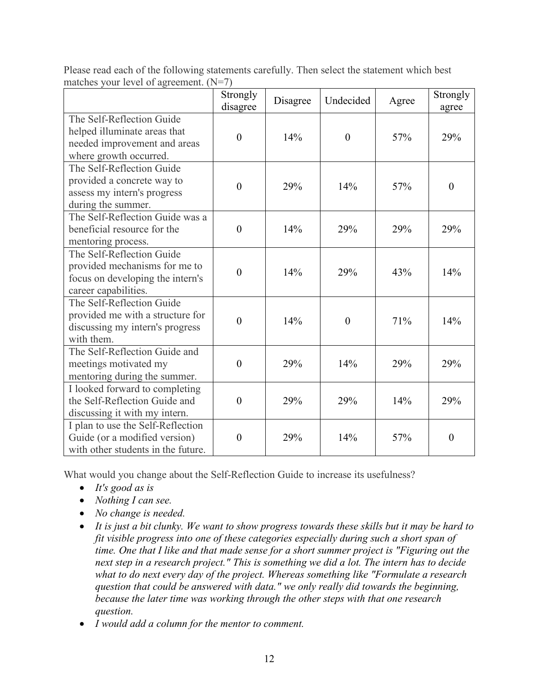|                                                                                                                        | Strongly<br>disagree | Disagree | Undecided        | Agree | Strongly<br>agree |
|------------------------------------------------------------------------------------------------------------------------|----------------------|----------|------------------|-------|-------------------|
| The Self-Reflection Guide<br>helped illuminate areas that<br>needed improvement and areas<br>where growth occurred.    | $\overline{0}$       | 14%      | $\boldsymbol{0}$ | 57%   | 29%               |
| The Self-Reflection Guide<br>provided a concrete way to<br>assess my intern's progress<br>during the summer.           | $\overline{0}$       | 29%      | 14%              | 57%   | $\boldsymbol{0}$  |
| The Self-Reflection Guide was a<br>beneficial resource for the<br>mentoring process.                                   | $\theta$             | 14%      | 29%              | 29%   | 29%               |
| The Self-Reflection Guide<br>provided mechanisms for me to<br>focus on developing the intern's<br>career capabilities. | $\overline{0}$       | 14%      | 29%              | 43%   | 14%               |
| The Self-Reflection Guide<br>provided me with a structure for<br>discussing my intern's progress<br>with them.         | $\theta$             | 14%      | $\theta$         | 71%   | 14%               |
| The Self-Reflection Guide and<br>meetings motivated my<br>mentoring during the summer.                                 | $\overline{0}$       | 29%      | 14%              | 29%   | 29%               |
| I looked forward to completing<br>the Self-Reflection Guide and<br>discussing it with my intern.                       | $\boldsymbol{0}$     | 29%      | 29%              | 14%   | 29%               |
| I plan to use the Self-Reflection<br>Guide (or a modified version)<br>with other students in the future.               | $\boldsymbol{0}$     | 29%      | 14%              | 57%   | $\boldsymbol{0}$  |

Please read each of the following statements carefully. Then select the statement which best matches your level of agreement. (N=7)

What would you change about the Self-Reflection Guide to increase its usefulness?

- *It's good as is*
- *Nothing I can see.*
- *No change is needed.*
- *It is just a bit clunky. We want to show progress towards these skills but it may be hard to fit visible progress into one of these categories especially during such a short span of time. One that I like and that made sense for a short summer project is "Figuring out the next step in a research project." This is something we did a lot. The intern has to decide what to do next every day of the project. Whereas something like "Formulate a research question that could be answered with data." we only really did towards the beginning, because the later time was working through the other steps with that one research question.*
- *I would add a column for the mentor to comment.*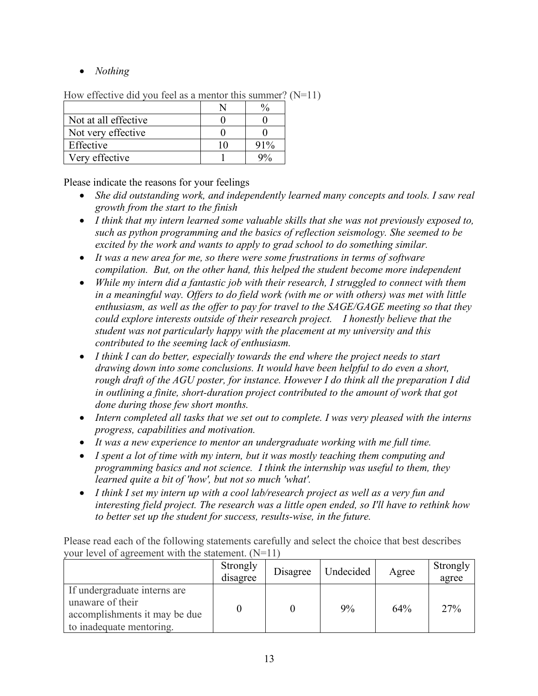• *Nothing*

| TION CHUCH VU QIU VOU TUUT US U HIUHIUI THIS SUHHIIUI. |  |        |  |
|--------------------------------------------------------|--|--------|--|
|                                                        |  |        |  |
| Not at all effective                                   |  |        |  |
| Not very effective                                     |  |        |  |
| Effective                                              |  | $91\%$ |  |
| Very effective                                         |  |        |  |

How effective did you feel as a mentor this summer?  $(N=11)$ 

Please indicate the reasons for your feelings

- *She did outstanding work, and independently learned many concepts and tools. I saw real growth from the start to the finish*
- *I think that my intern learned some valuable skills that she was not previously exposed to, such as python programming and the basics of reflection seismology. She seemed to be excited by the work and wants to apply to grad school to do something similar.*
- *It was a new area for me, so there were some frustrations in terms of software compilation. But, on the other hand, this helped the student become more independent*
- *While my intern did a fantastic job with their research, I struggled to connect with them in a meaningful way. Offers to do field work (with me or with others) was met with little enthusiasm, as well as the offer to pay for travel to the SAGE/GAGE meeting so that they could explore interests outside of their research project. I honestly believe that the student was not particularly happy with the placement at my university and this contributed to the seeming lack of enthusiasm.*
- *I think I can do better, especially towards the end where the project needs to start drawing down into some conclusions. It would have been helpful to do even a short, rough draft of the AGU poster, for instance. However I do think all the preparation I did in outlining a finite, short-duration project contributed to the amount of work that got done during those few short months.*
- *Intern completed all tasks that we set out to complete. I was very pleased with the interns progress, capabilities and motivation.*
- *It was a new experience to mentor an undergraduate working with me full time.*
- *I spent a lot of time with my intern, but it was mostly teaching them computing and programming basics and not science. I think the internship was useful to them, they learned quite a bit of 'how', but not so much 'what'.*
- *I think I set my intern up with a cool lab/research project as well as a very fun and interesting field project. The research was a little open ended, so I'll have to rethink how to better set up the student for success, results-wise, in the future.*

|                                                                                                               | Strongly<br>disagree | Disagree | Undecided | Agree | Strongly<br>agree |
|---------------------------------------------------------------------------------------------------------------|----------------------|----------|-----------|-------|-------------------|
| If undergraduate interns are<br>unaware of their<br>accomplishments it may be due<br>to inadequate mentoring. |                      |          | 9%        | 64%   | 27%               |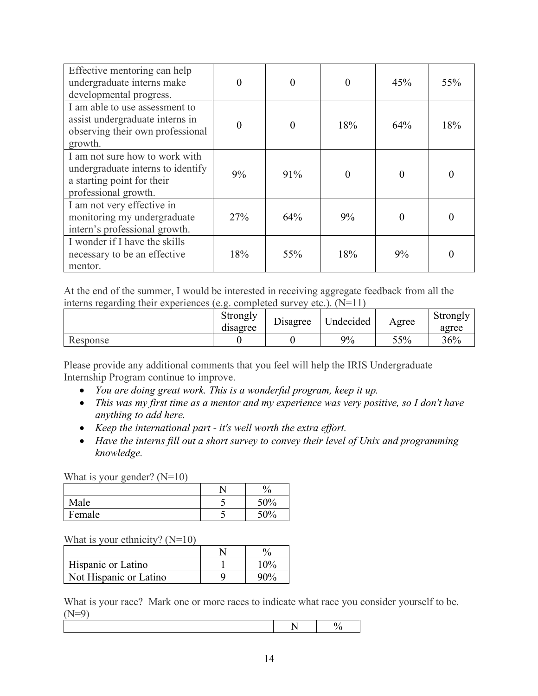| Effective mentoring can help<br>undergraduate interns make<br>developmental progress.                                     |          | 0        |          | 45%      | 55%      |
|---------------------------------------------------------------------------------------------------------------------------|----------|----------|----------|----------|----------|
| I am able to use assessment to<br>assist undergraduate interns in<br>observing their own professional<br>growth.          | $\theta$ | $\theta$ | 18%      | 64%      | 18%      |
| I am not sure how to work with<br>undergraduate interns to identify<br>a starting point for their<br>professional growth. | 9%       | 91%      | $\theta$ | $\Omega$ | $\theta$ |
| I am not very effective in<br>monitoring my undergraduate<br>intern's professional growth.                                | 27%      | 64%      | 9%       |          | $\theta$ |
| I wonder if I have the skills<br>necessary to be an effective<br>mentor.                                                  | 18%      | 55%      | 18%      | 9%       | 0        |

At the end of the summer, I would be interested in receiving aggregate feedback from all the interns regarding their experiences (e.g. completed survey etc.). (N=11)

|          | Strongly<br>$\cdot$<br>disagree | Disagree | <b>Indecided</b> | Agree | Strongly<br>agree |
|----------|---------------------------------|----------|------------------|-------|-------------------|
| Response |                                 |          | 9%               | 55%   | 36%               |

Please provide any additional comments that you feel will help the IRIS Undergraduate Internship Program continue to improve.

- *You are doing great work. This is a wonderful program, keep it up.*
- *This was my first time as a mentor and my experience was very positive, so I don't have anything to add here.*
- *Keep the international part - it's well worth the extra effort.*
- *Have the interns fill out a short survey to convey their level of Unix and programming knowledge.*

What is your gender?  $(N=10)$ 

|        | υ<br>70⊧ |
|--------|----------|
| Male   | ′0       |
| Female |          |

What is your ethnicity?  $(N=10)$ 

| Hispanic or Latino     | 1 (10/ |
|------------------------|--------|
| Not Hispanic or Latino |        |

What is your race? Mark one or more races to indicate what race you consider yourself to be.  $(N=9)$ 

|--|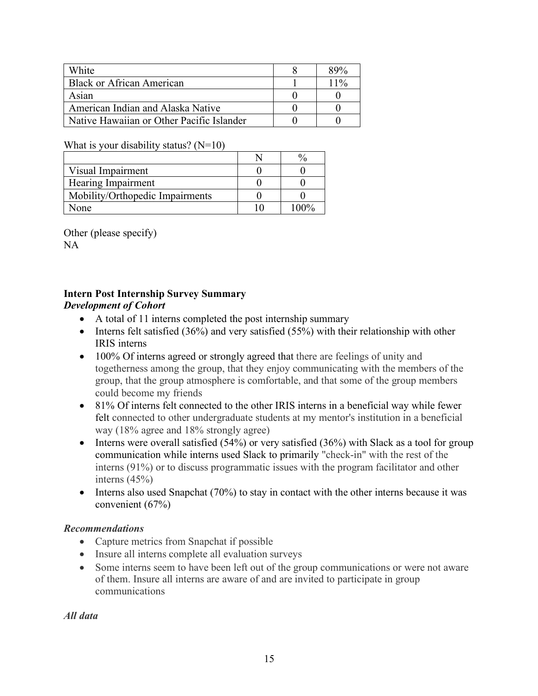| White                                     | 89%    |
|-------------------------------------------|--------|
| <b>Black or African American</b>          | $11\%$ |
| Asian                                     |        |
| American Indian and Alaska Native         |        |
| Native Hawaiian or Other Pacific Islander |        |

#### What is your disability status?  $(N=10)$

| Visual Impairment               |      |
|---------------------------------|------|
| Hearing Impairment              |      |
| Mobility/Orthopedic Impairments |      |
| vone                            | 100% |

Other (please specify) NA

# **Intern Post Internship Survey Summary**

#### *Development of Cohort*

- A total of 11 interns completed the post internship summary
- Interns felt satisfied (36%) and very satisfied (55%) with their relationship with other IRIS interns
- 100% Of interns agreed or strongly agreed that there are feelings of unity and togetherness among the group, that they enjoy communicating with the members of the group, that the group atmosphere is comfortable, and that some of the group members could become my friends
- 81% Of interns felt connected to the other IRIS interns in a beneficial way while fewer felt connected to other undergraduate students at my mentor's institution in a beneficial way (18% agree and 18% strongly agree)
- Interns were overall satisfied  $(54%)$  or very satisfied  $(36%)$  with Slack as a tool for group communication while interns used Slack to primarily "check-in" with the rest of the interns (91%) or to discuss programmatic issues with the program facilitator and other interns (45%)
- Interns also used Snapchat (70%) to stay in contact with the other interns because it was convenient (67%)

#### *Recommendations*

- Capture metrics from Snapchat if possible
- Insure all interns complete all evaluation surveys
- Some interns seem to have been left out of the group communications or were not aware of them. Insure all interns are aware of and are invited to participate in group communications

*All data*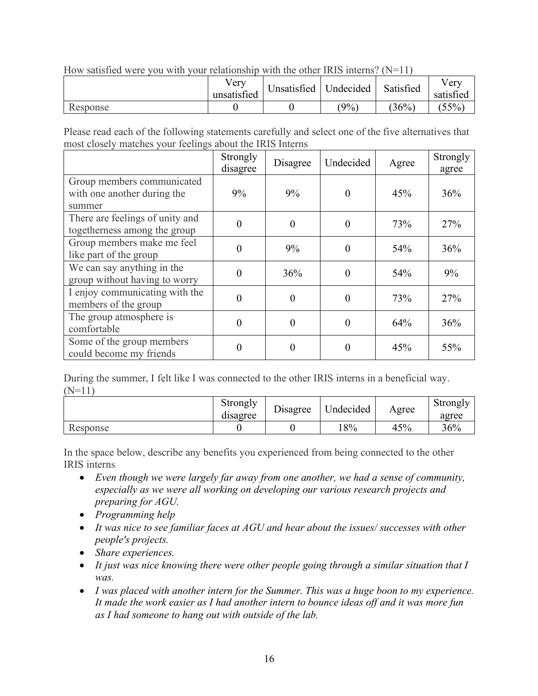|          | Verv<br>unsatisfied | Unsatisfied   Undecided |       | Satisfied | Very<br>satisfied |
|----------|---------------------|-------------------------|-------|-----------|-------------------|
| Response |                     |                         | $9\%$ | $36\%$    | 55%               |

How satisfied were you with your relationship with the other IRIS interns?  $(N=11)$ 

Please read each of the following statements carefully and select one of the five alternatives that most closely matches your feelings about the IRIS Interns

|                                                                     | Strongly<br>disagree | Disagree | Undecided | Agree | Strongly<br>agree |
|---------------------------------------------------------------------|----------------------|----------|-----------|-------|-------------------|
| Group members communicated<br>with one another during the<br>summer | 9%                   | 9%       |           | 45%   | 36%               |
| There are feelings of unity and<br>togetherness among the group     | 0                    | $\theta$ | $\theta$  | 73%   | 27%               |
| Group members make me feel<br>like part of the group                | $\Omega$             | 9%       | $\Omega$  | 54%   | 36%               |
| We can say anything in the<br>group without having to worry         | $\Omega$             | 36%      | $\Omega$  | 54%   | 9%                |
| I enjoy communicating with the<br>members of the group              | $\Omega$             | $\Omega$ | $\Omega$  | 73%   | 27%               |
| The group atmosphere is<br>comfortable                              | $\Omega$             | $\Omega$ | 0         | 64%   | 36%               |
| Some of the group members<br>could become my friends                | 0                    | $\Omega$ | $\Omega$  | 45%   | 55%               |

During the summer, I felt like I was connected to the other IRIS interns in a beneficial way.  $(N=11)$ 

|          | Strongly<br>. .<br>disagree | Disagree | <b>Jndecided</b> | Agree | Strongly<br>agree |
|----------|-----------------------------|----------|------------------|-------|-------------------|
| Response |                             |          | 8%               | 45%   | 36%               |

In the space below, describe any benefits you experienced from being connected to the other IRIS interns

- *Even though we were largely far away from one another, we had a sense of community, especially as we were all working on developing our various research projects and preparing for AGU.*
- *Programming help*
- *It was nice to see familiar faces at AGU and hear about the issues/ successes with other people's projects.*
- *Share experiences.*
- *It just was nice knowing there were other people going through a similar situation that I was.*
- *I was placed with another intern for the Summer. This was a huge boon to my experience. It made the work easier as I had another intern to bounce ideas off and it was more fun as I had someone to hang out with outside of the lab.*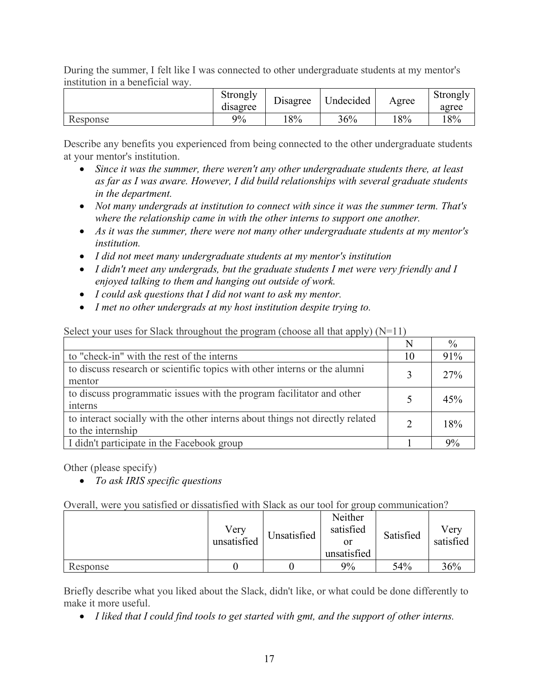During the summer, I felt like I was connected to other undergraduate students at my mentor's institution in a beneficial way.

|          | Strongly<br>$\cdot$<br>disagree | Jisagree | Undecided | Agree | Strongly<br>agree |
|----------|---------------------------------|----------|-----------|-------|-------------------|
| Response | 9%                              | 18%      | 36%       | 18%   | 18%               |

Describe any benefits you experienced from being connected to the other undergraduate students at your mentor's institution.

- *Since it was the summer, there weren't any other undergraduate students there, at least as far as I was aware. However, I did build relationships with several graduate students in the department.*
- *Not many undergrads at institution to connect with since it was the summer term. That's where the relationship came in with the other interns to support one another.*
- *As it was the summer, there were not many other undergraduate students at my mentor's institution.*
- *I did not meet many undergraduate students at my mentor's institution*
- *I didn't meet any undergrads, but the graduate students I met were very friendly and I enjoyed talking to them and hanging out outside of work.*
- *I could ask questions that I did not want to ask my mentor.*
- *I met no other undergrads at my host institution despite trying to.*

Select your uses for Slack throughout the program (choose all that apply) (N=11)

|                                                                                                    | N  | $\frac{0}{0}$ |
|----------------------------------------------------------------------------------------------------|----|---------------|
| to "check-in" with the rest of the interns                                                         | 10 | 91%           |
| to discuss research or scientific topics with other interns or the alumni<br>mentor                |    | 27%           |
| to discuss programmatic issues with the program facilitator and other<br>interns                   |    | 45%           |
| to interact socially with the other interns about things not directly related<br>to the internship |    | 18%           |
| I didn't participate in the Facebook group                                                         |    | 9%            |

Other (please specify)

• *To ask IRIS specific questions*

Overall, were you satisfied or dissatisfied with Slack as our tool for group communication?

|          | Very<br>unsatisfied | Unsatisfied | Neither<br>satisfied<br>or<br>unsatisfied | Satisfied | Verv<br>satisfied |
|----------|---------------------|-------------|-------------------------------------------|-----------|-------------------|
| Response |                     |             | 9%                                        | 54%       | 36%               |

Briefly describe what you liked about the Slack, didn't like, or what could be done differently to make it more useful.

• *I liked that I could find tools to get started with gmt, and the support of other interns.*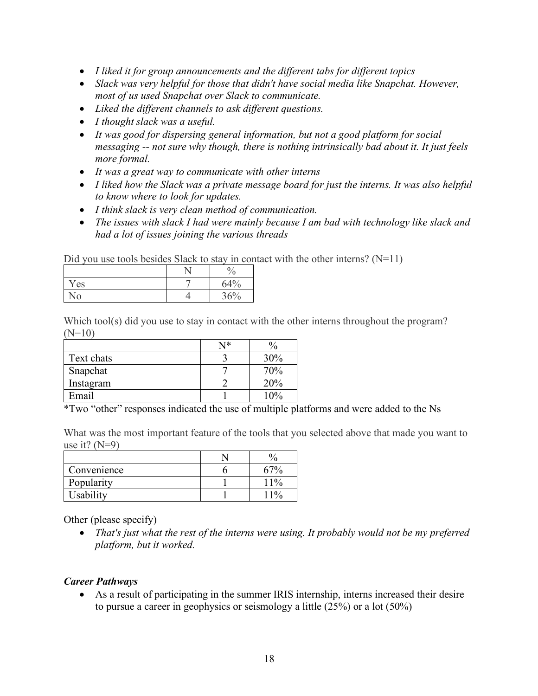- *I liked it for group announcements and the different tabs for different topics*
- *Slack was very helpful for those that didn't have social media like Snapchat. However, most of us used Snapchat over Slack to communicate.*
- *Liked the different channels to ask different questions.*
- *I thought slack was a useful.*
- *It was good for dispersing general information, but not a good platform for social messaging -- not sure why though, there is nothing intrinsically bad about it. It just feels more formal.*
- *It was a great way to communicate with other interns*
- *I liked how the Slack was a private message board for just the interns. It was also helpful to know where to look for updates.*
- *I think slack is very clean method of communication.*
- *The issues with slack I had were mainly because I am bad with technology like slack and had a lot of issues joining the various threads*

Did you use tools besides Slack to stay in contact with the other interns?  $(N=11)$ 

|      | $\mathbf{0}$<br>΄0 |
|------|--------------------|
| Y es | 64%                |
| ٧O   | 36%                |

Which tool(s) did you use to stay in contact with the other interns throughout the program?  $(N=10)$ 

|            | N* |     |
|------------|----|-----|
| Text chats |    | 30% |
| Snapchat   |    | 70% |
| Instagram  |    | 20% |
| Email      |    |     |

\*Two "other" responses indicated the use of multiple platforms and were added to the Ns

What was the most important feature of the tools that you selected above that made you want to use it?  $(N=9)$ 

|             | υ     |
|-------------|-------|
| Convenience |       |
| Popularity  | $1\%$ |
| Usability   | 10,   |

Other (please specify)

• *That's just what the rest of the interns were using. It probably would not be my preferred platform, but it worked.*

#### *Career Pathways*

• As a result of participating in the summer IRIS internship, interns increased their desire to pursue a career in geophysics or seismology a little (25%) or a lot (50%)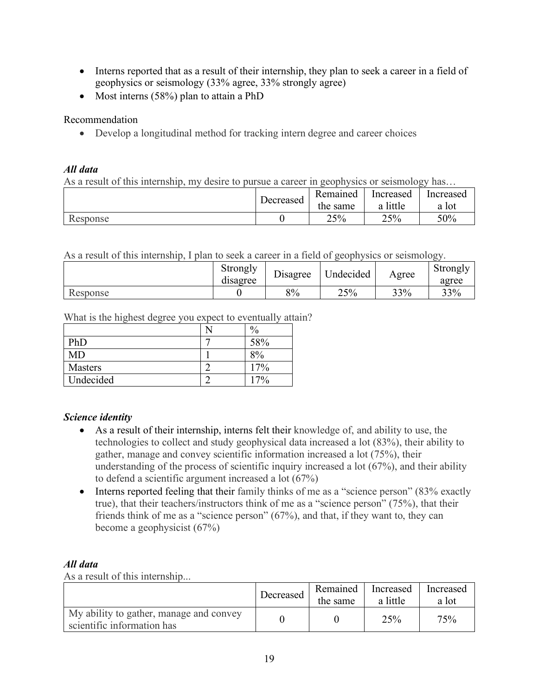- Interns reported that as a result of their internship, they plan to seek a career in a field of geophysics or seismology (33% agree, 33% strongly agree)
- Most interns (58%) plan to attain a PhD

Recommendation

• Develop a longitudinal method for tracking intern degree and career choices

#### *All data*

As a result of this internship, my desire to pursue a career in geophysics or seismology has…

|          |           | Remained | Increased   | Increased |
|----------|-----------|----------|-------------|-----------|
|          | Decreased | the same | little<br>a | a lot     |
| Response |           | 25%      | 25%         | 50%       |

As a result of this internship, I plan to seek a career in a field of geophysics or seismology.

|          | Strongly<br>$\cdot$<br>disagree | r.<br>Jisagree | Undecided | Agree | Strongly<br>agree |
|----------|---------------------------------|----------------|-----------|-------|-------------------|
| Response |                                 | 8%             | 25%       | 33%   | 33%               |

What is the highest degree you expect to eventually attain?

|           | 0,<br>70 |
|-----------|----------|
| PhD       | 58%      |
| MD        | 8%       |
| Masters   | 17%      |
| Undecided | $17\%$   |

#### *Science identity*

- As a result of their internship, interns felt their knowledge of, and ability to use, the technologies to collect and study geophysical data increased a lot (83%), their ability to gather, manage and convey scientific information increased a lot (75%), their understanding of the process of scientific inquiry increased a lot (67%), and their ability to defend a scientific argument increased a lot (67%)
- Interns reported feeling that their family thinks of me as a "science person" (83% exactly true), that their teachers/instructors think of me as a "science person" (75%), that their friends think of me as a "science person" (67%), and that, if they want to, they can become a geophysicist (67%)

# *All data*

As a result of this internship...

|                                                                       | Decreased | Remained<br>the same | Increased<br>a little | Increased<br>a lot |
|-----------------------------------------------------------------------|-----------|----------------------|-----------------------|--------------------|
| My ability to gather, manage and convey<br>scientific information has |           |                      | 25%                   | 75%                |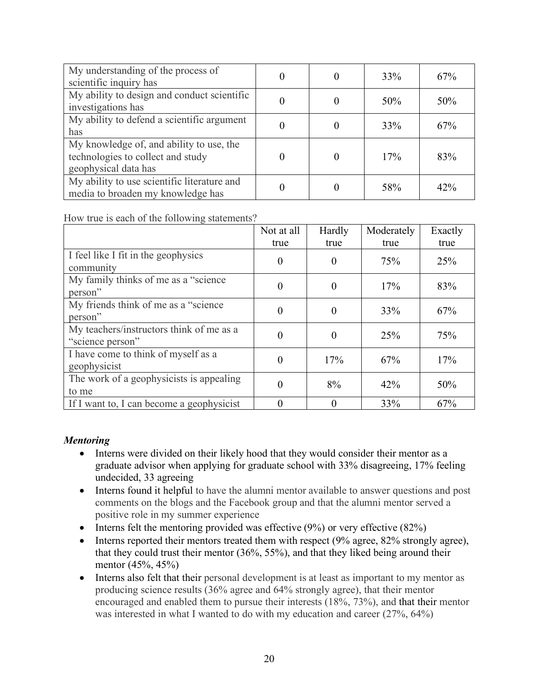| My understanding of the process of<br>scientific inquiry has                                          |  | 33% | 67% |
|-------------------------------------------------------------------------------------------------------|--|-----|-----|
| My ability to design and conduct scientific<br>investigations has                                     |  | 50% | 50% |
| My ability to defend a scientific argument<br>has                                                     |  | 33% | 67% |
| My knowledge of, and ability to use, the<br>technologies to collect and study<br>geophysical data has |  | 17% | 83% |
| My ability to use scientific literature and<br>media to broaden my knowledge has                      |  | 58% | 42% |

How true is each of the following statements?

|                                                              | Not at all | Hardly   | Moderately | Exactly |
|--------------------------------------------------------------|------------|----------|------------|---------|
|                                                              | true       | true     | true       | true    |
| I feel like I fit in the geophysics<br>community             | $\theta$   | $\Omega$ | 75%        | 25%     |
| My family thinks of me as a "science"<br>person"             | $\Omega$   | $\theta$ | 17%        | 83%     |
| My friends think of me as a "science"<br>person"             | $\Omega$   | 0        | 33%        | 67%     |
| My teachers/instructors think of me as a<br>"science person" | $\Omega$   | 0        | 25%        | 75%     |
| I have come to think of myself as a<br>geophysicist          | $\Omega$   | 17%      | 67%        | 17%     |
| The work of a geophysicists is appealing<br>to me            | 0          | 8%       | 42%        | 50%     |
| If I want to, I can become a geophysicist                    |            |          | 33%        | 67%     |

# *Mentoring*

- Interns were divided on their likely hood that they would consider their mentor as a graduate advisor when applying for graduate school with 33% disagreeing, 17% feeling undecided, 33 agreeing
- Interns found it helpful to have the alumni mentor available to answer questions and post comments on the blogs and the Facebook group and that the alumni mentor served a positive role in my summer experience
- Interns felt the mentoring provided was effective  $(9\%)$  or very effective  $(82\%)$
- Interns reported their mentors treated them with respect (9% agree, 82% strongly agree), that they could trust their mentor (36%, 55%), and that they liked being around their mentor (45%, 45%)
- Interns also felt that their personal development is at least as important to my mentor as producing science results (36% agree and 64% strongly agree), that their mentor encouraged and enabled them to pursue their interests (18%, 73%), and that their mentor was interested in what I wanted to do with my education and career (27%, 64%)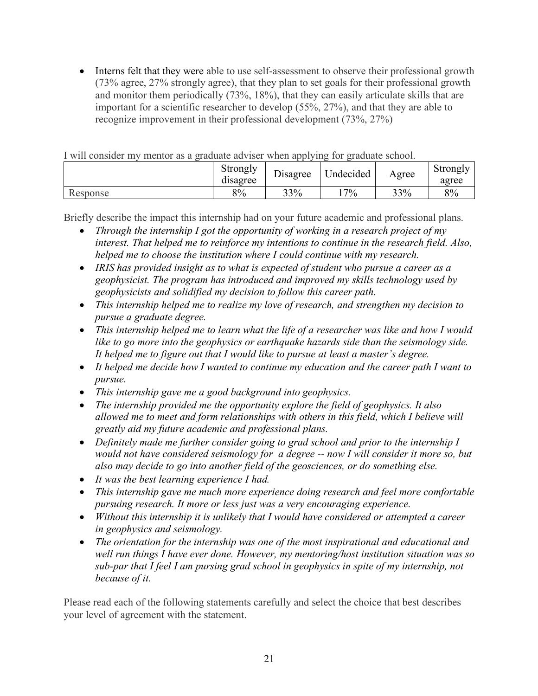• Interns felt that they were able to use self-assessment to observe their professional growth (73% agree, 27% strongly agree), that they plan to set goals for their professional growth and monitor them periodically (73%, 18%), that they can easily articulate skills that are important for a scientific researcher to develop (55%, 27%), and that they are able to recognize improvement in their professional development (73%, 27%)

| T WILL CONSIGUE THY HIGHERI AS A GRAGAAL AGYTSCH WHCH ADDIVING TOF GRAGAAL SCHOOL. | Strongly<br>disagree | ⊤.∙<br>Disagree | <b><i><u>Indecided</u></i></b> | Agree | Strongly<br>agree |
|------------------------------------------------------------------------------------|----------------------|-----------------|--------------------------------|-------|-------------------|
| Response                                                                           | 8%                   | 33%             | $7\%$                          | 33%   | 8%                |

I will consider my mentor as a graduate adviser when applying for graduate school.

Briefly describe the impact this internship had on your future academic and professional plans.

- *Through the internship I got the opportunity of working in a research project of my interest. That helped me to reinforce my intentions to continue in the research field. Also, helped me to choose the institution where I could continue with my research.*
- *IRIS has provided insight as to what is expected of student who pursue a career as a geophysicist. The program has introduced and improved my skills technology used by geophysicists and solidified my decision to follow this career path.*
- *This internship helped me to realize my love of research, and strengthen my decision to pursue a graduate degree.*
- *This internship helped me to learn what the life of a researcher was like and how I would like to go more into the geophysics or earthquake hazards side than the seismology side. It helped me to figure out that I would like to pursue at least a master's degree.*
- *It helped me decide how I wanted to continue my education and the career path I want to pursue.*
- *This internship gave me a good background into geophysics.*
- *The internship provided me the opportunity explore the field of geophysics. It also allowed me to meet and form relationships with others in this field, which I believe will greatly aid my future academic and professional plans.*
- *Definitely made me further consider going to grad school and prior to the internship I would not have considered seismology for a degree -- now I will consider it more so, but also may decide to go into another field of the geosciences, or do something else.*
- *It was the best learning experience I had.*
- *This internship gave me much more experience doing research and feel more comfortable pursuing research. It more or less just was a very encouraging experience.*
- *Without this internship it is unlikely that I would have considered or attempted a career in geophysics and seismology.*
- *The orientation for the internship was one of the most inspirational and educational and well run things I have ever done. However, my mentoring/host institution situation was so sub-par that I feel I am pursing grad school in geophysics in spite of my internship, not because of it.*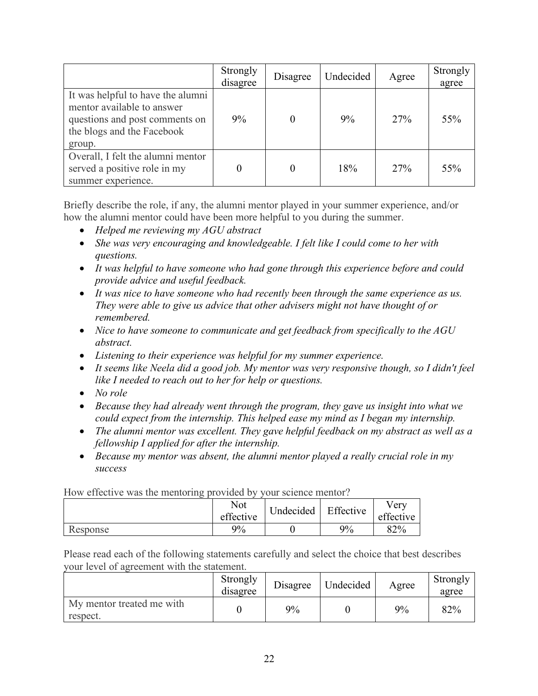|                                                                                                                                           | Strongly<br>disagree | Disagree | Undecided | Agree | Strongly<br>agree |
|-------------------------------------------------------------------------------------------------------------------------------------------|----------------------|----------|-----------|-------|-------------------|
| It was helpful to have the alumni<br>mentor available to answer<br>questions and post comments on<br>the blogs and the Facebook<br>group. | 9%                   |          | 9%        | 27%   | 55%               |
| Overall, I felt the alumni mentor<br>served a positive role in my<br>summer experience.                                                   |                      |          | 18%       | 27%   | 55%               |

Briefly describe the role, if any, the alumni mentor played in your summer experience, and/or how the alumni mentor could have been more helpful to you during the summer.

- *Helped me reviewing my AGU abstract*
- *She was very encouraging and knowledgeable. I felt like I could come to her with questions.*
- *It was helpful to have someone who had gone through this experience before and could provide advice and useful feedback.*
- *It was nice to have someone who had recently been through the same experience as us. They were able to give us advice that other advisers might not have thought of or remembered.*
- *Nice to have someone to communicate and get feedback from specifically to the AGU abstract.*
- *Listening to their experience was helpful for my summer experience.*
- *It seems like Neela did a good job. My mentor was very responsive though, so I didn't feel like I needed to reach out to her for help or questions.*
- *No role*
- *Because they had already went through the program, they gave us insight into what we could expect from the internship. This helped ease my mind as I began my internship.*
- *The alumni mentor was excellent. They gave helpful feedback on my abstract as well as a fellowship I applied for after the internship.*
- *Because my mentor was absent, the alumni mentor played a really crucial role in my success*

| How effective was the mentoring provided by your science mentor! |           |                     |    |           |
|------------------------------------------------------------------|-----------|---------------------|----|-----------|
|                                                                  | Not       | Undecided Effective |    | Verv      |
|                                                                  | effective |                     |    | effective |
| Response                                                         | $9\%$     |                     | 9% | 82%       |

How effective was the mentoring provided by your science mentor?

|                                       | Strongly<br>disagree | Disagree | Undecided | Agree | Strongly<br>agree |
|---------------------------------------|----------------------|----------|-----------|-------|-------------------|
| My mentor treated me with<br>respect. |                      | 9%       |           | 9%    | 82%               |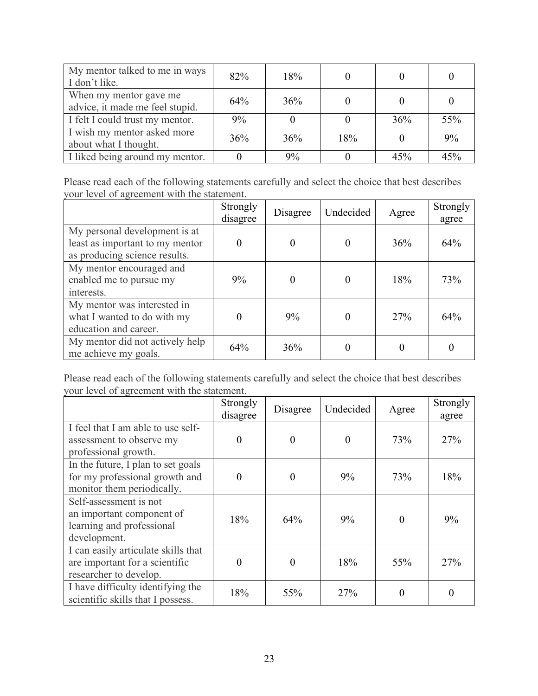| My mentor talked to me in ways<br>I don't like.           | 82% | 18% |     |     |     |
|-----------------------------------------------------------|-----|-----|-----|-----|-----|
| When my mentor gave me<br>advice, it made me feel stupid. | 64% | 36% |     |     |     |
| I felt I could trust my mentor.                           | 9%  |     |     | 36% | 55% |
| I wish my mentor asked more<br>about what I thought.      | 36% | 36% | 18% |     | 9%  |
| I liked being around my mentor.                           |     | 9%  |     | 45% | 45% |

Please read each of the following statements carefully and select the choice that best describes your level of agreement with the statement.

|                                                                                                   | Strongly<br>disagree | Disagree | Undecided | Agree | Strongly<br>agree |
|---------------------------------------------------------------------------------------------------|----------------------|----------|-----------|-------|-------------------|
| My personal development is at<br>least as important to my mentor<br>as producing science results. |                      | 0        | $\Omega$  | 36%   | 64%               |
| My mentor encouraged and<br>enabled me to pursue my<br>interests.                                 | 9%                   | 0        |           | 18%   | 73%               |
| My mentor was interested in<br>what I wanted to do with my<br>education and career.               |                      | 9%       | 0         | 27%   | 64%               |
| My mentor did not actively help<br>me achieve my goals.                                           | 64%                  | 36%      |           |       |                   |

|                                                                                                    | Strongly<br>disagree | Disagree | Undecided | Agree    | Strongly<br>agree |
|----------------------------------------------------------------------------------------------------|----------------------|----------|-----------|----------|-------------------|
| I feel that I am able to use self-<br>assessment to observe my<br>professional growth.             | $\theta$             | $\theta$ | $\theta$  | 73%      | 27%               |
| In the future, I plan to set goals<br>for my professional growth and<br>monitor them periodically. |                      | $\Omega$ | 9%        | 73%      | 18%               |
| Self-assessment is not<br>an important component of<br>learning and professional<br>development.   | 18%                  | 64%      | 9%        | $\theta$ | 9%                |
| I can easily articulate skills that<br>are important for a scientific<br>researcher to develop.    | 0                    | $\theta$ | 18%       | 55%      | 27%               |
| I have difficulty identifying the<br>scientific skills that I possess.                             | 18%                  | 55%      | 27%       |          | $\theta$          |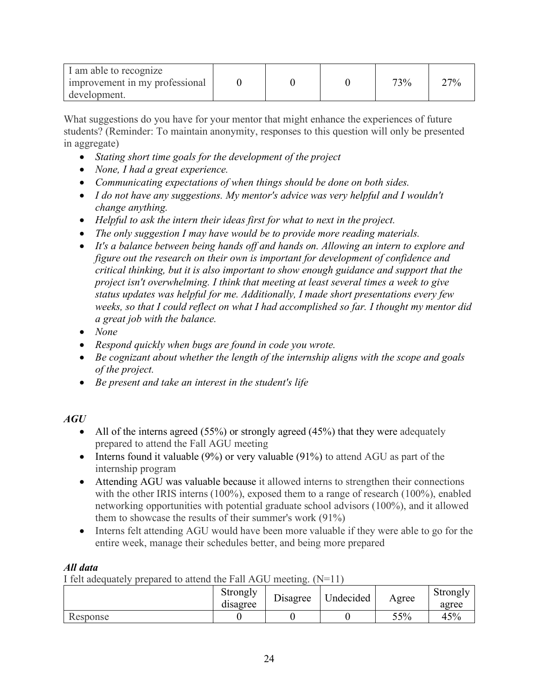| I am able to recognize         |  |     |     |
|--------------------------------|--|-----|-----|
| improvement in my professional |  | 73% | 27% |
| development.                   |  |     |     |

What suggestions do you have for your mentor that might enhance the experiences of future students? (Reminder: To maintain anonymity, responses to this question will only be presented in aggregate)

- *Stating short time goals for the development of the project*
- *None, I had a great experience.*
- *Communicating expectations of when things should be done on both sides.*
- *I do not have any suggestions. My mentor's advice was very helpful and I wouldn't change anything.*
- *Helpful to ask the intern their ideas first for what to next in the project.*
- *The only suggestion I may have would be to provide more reading materials.*
- *It's a balance between being hands off and hands on. Allowing an intern to explore and figure out the research on their own is important for development of confidence and critical thinking, but it is also important to show enough guidance and support that the project isn't overwhelming. I think that meeting at least several times a week to give status updates was helpful for me. Additionally, I made short presentations every few weeks, so that I could reflect on what I had accomplished so far. I thought my mentor did a great job with the balance.*
- *None*
- *Respond quickly when bugs are found in code you wrote.*
- *Be cognizant about whether the length of the internship aligns with the scope and goals of the project.*
- *Be present and take an interest in the student's life*

# *AGU*

- All of the interns agreed (55%) or strongly agreed (45%) that they were adequately prepared to attend the Fall AGU meeting
- Interns found it valuable (9%) or very valuable (91%) to attend AGU as part of the internship program
- Attending AGU was valuable because it allowed interns to strengthen their connections with the other IRIS interns (100%), exposed them to a range of research (100%), enabled networking opportunities with potential graduate school advisors (100%), and it allowed them to showcase the results of their summer's work (91%)
- Interns felt attending AGU would have been more valuable if they were able to go for the entire week, manage their schedules better, and being more prepared

# *All data*

I felt adequately prepared to attend the Fall AGU meeting.  $(N=11)$ 

|          | Strongly<br>disagree | <b>Disagree</b> | Jndecided | Agree | Strongly<br>agree |
|----------|----------------------|-----------------|-----------|-------|-------------------|
| Response |                      |                 |           | 55%   | 45%               |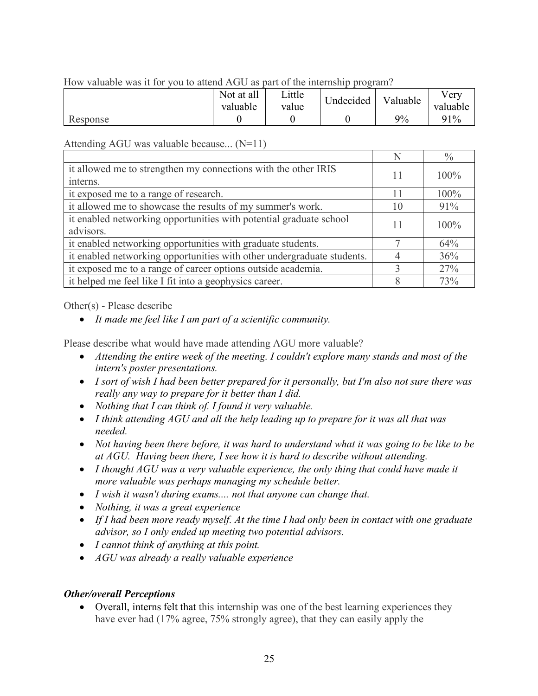### How valuable was it for you to attend AGU as part of the internship program?

|          | Not at all<br>valuable | Little<br>value | Undecided | Valuable | Very<br>valuable |
|----------|------------------------|-----------------|-----------|----------|------------------|
| Response |                        |                 |           | 9%       | 91%              |

#### Attending AGU was valuable because... (N=11)

|                                                                        | N  | $\frac{0}{0}$ |
|------------------------------------------------------------------------|----|---------------|
| it allowed me to strengthen my connections with the other IRIS         | 11 | $100\%$       |
| interns.                                                               |    |               |
| it exposed me to a range of research.                                  | 11 | 100%          |
| it allowed me to showcase the results of my summer's work.             | 10 | 91%           |
| it enabled networking opportunities with potential graduate school     | 11 | 100%          |
| advisors.                                                              |    |               |
| it enabled networking opportunities with graduate students.            |    | 64%           |
| it enabled networking opportunities with other undergraduate students. |    | 36%           |
| it exposed me to a range of career options outside academia.           |    | 27%           |
| it helped me feel like I fit into a geophysics career.                 |    | 73%           |

Other(s) - Please describe

• *It made me feel like I am part of a scientific community.*

Please describe what would have made attending AGU more valuable?

- *Attending the entire week of the meeting. I couldn't explore many stands and most of the intern's poster presentations.*
- *I sort of wish I had been better prepared for it personally, but I'm also not sure there was really any way to prepare for it better than I did.*
- *Nothing that I can think of. I found it very valuable.*
- *I think attending AGU and all the help leading up to prepare for it was all that was needed.*
- *Not having been there before, it was hard to understand what it was going to be like to be at AGU. Having been there, I see how it is hard to describe without attending.*
- *I thought AGU was a very valuable experience, the only thing that could have made it more valuable was perhaps managing my schedule better.*
- *I wish it wasn't during exams.... not that anyone can change that.*
- *Nothing, it was a great experience*
- *If I had been more ready myself. At the time I had only been in contact with one graduate advisor, so I only ended up meeting two potential advisors.*
- *I cannot think of anything at this point.*
- *AGU was already a really valuable experience*

#### *Other/overall Perceptions*

• Overall, interns felt that this internship was one of the best learning experiences they have ever had (17% agree, 75% strongly agree), that they can easily apply the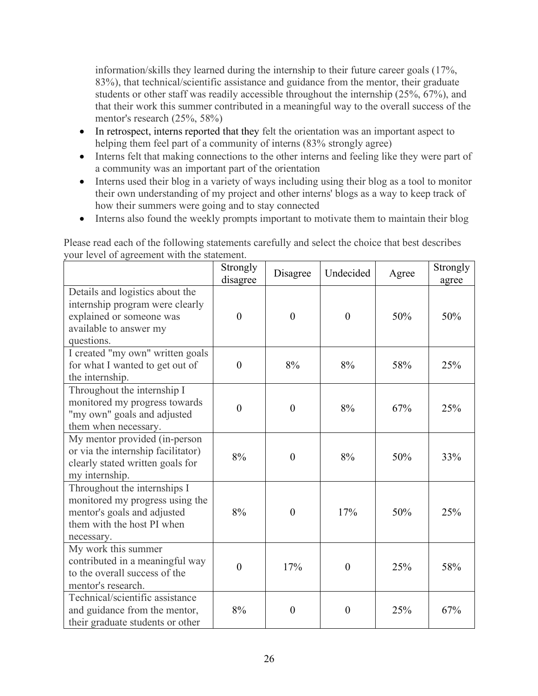information/skills they learned during the internship to their future career goals (17%, 83%), that technical/scientific assistance and guidance from the mentor, their graduate students or other staff was readily accessible throughout the internship (25%, 67%), and that their work this summer contributed in a meaningful way to the overall success of the mentor's research (25%, 58%)

- In retrospect, interns reported that they felt the orientation was an important aspect to helping them feel part of a community of interns (83% strongly agree)
- Interns felt that making connections to the other interns and feeling like they were part of a community was an important part of the orientation
- Interns used their blog in a variety of ways including using their blog as a tool to monitor their own understanding of my project and other interns' blogs as a way to keep track of how their summers were going and to stay connected
- Interns also found the weekly prompts important to motivate them to maintain their blog

| our level of agreement with the statement.                                                                                                 | Strongly<br>disagree | Disagree         | Undecided        | Agree | Strongly<br>agree |
|--------------------------------------------------------------------------------------------------------------------------------------------|----------------------|------------------|------------------|-------|-------------------|
| Details and logistics about the<br>internship program were clearly<br>explained or someone was<br>available to answer my<br>questions.     | $\mathbf{0}$         | $\mathbf{0}$     | $\mathbf{0}$     | 50%   | 50%               |
| I created "my own" written goals<br>for what I wanted to get out of<br>the internship.                                                     | $\theta$             | 8%               | 8%               | 58%   | 25%               |
| Throughout the internship I<br>monitored my progress towards<br>"my own" goals and adjusted<br>them when necessary.                        | $\overline{0}$       | $\overline{0}$   | 8%               | 67%   | 25%               |
| My mentor provided (in-person<br>or via the internship facilitator)<br>clearly stated written goals for<br>my internship.                  | 8%                   | $\overline{0}$   | 8%               | 50%   | 33%               |
| Throughout the internships I<br>monitored my progress using the<br>mentor's goals and adjusted<br>them with the host PI when<br>necessary. | 8%                   | $\overline{0}$   | 17%              | 50%   | 25%               |
| My work this summer<br>contributed in a meaningful way<br>to the overall success of the<br>mentor's research.                              | $\theta$             | 17%              | $\overline{0}$   | 25%   | 58%               |
| Technical/scientific assistance<br>and guidance from the mentor,<br>their graduate students or other                                       | 8%                   | $\boldsymbol{0}$ | $\boldsymbol{0}$ | 25%   | 67%               |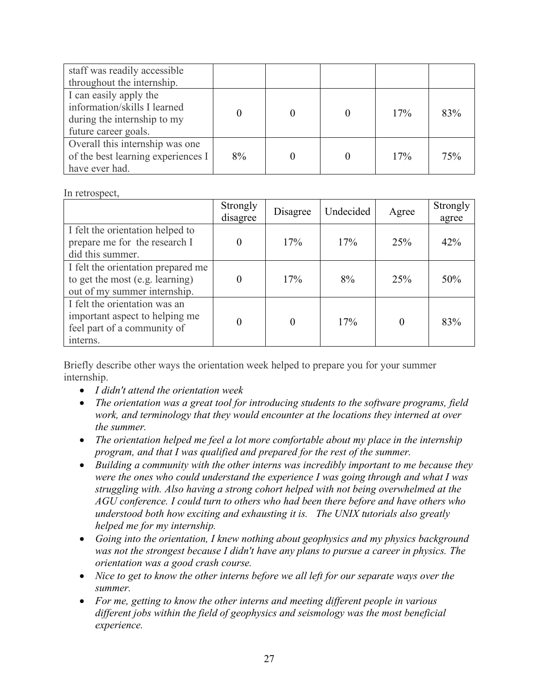| staff was readily accessible       |    |  |     |     |
|------------------------------------|----|--|-----|-----|
| throughout the internship.         |    |  |     |     |
| I can easily apply the             |    |  |     |     |
| information/skills I learned       |    |  | 17% | 83% |
| during the internship to my        |    |  |     |     |
| future career goals.               |    |  |     |     |
| Overall this internship was one    |    |  |     |     |
| of the best learning experiences I | 8% |  | 17% | 75% |
| have ever had.                     |    |  |     |     |

#### In retrospect,

|                                                                                                            | Strongly<br>disagree | Disagree | Undecided | Agree | Strongly<br>agree |
|------------------------------------------------------------------------------------------------------------|----------------------|----------|-----------|-------|-------------------|
| I felt the orientation helped to<br>prepare me for the research I<br>did this summer.                      |                      | 17%      | 17%       | 25%   | 42%               |
| I felt the orientation prepared me<br>to get the most (e.g. learning)<br>out of my summer internship.      |                      | 17%      | 8%        | 25%   | 50%               |
| I felt the orientation was an<br>important aspect to helping me<br>feel part of a community of<br>interns. |                      | $\theta$ | 17%       |       | 83%               |

Briefly describe other ways the orientation week helped to prepare you for your summer internship.

- *I didn't attend the orientation week*
- *The orientation was a great tool for introducing students to the software programs, field work, and terminology that they would encounter at the locations they interned at over the summer.*
- *The orientation helped me feel a lot more comfortable about my place in the internship program, and that I was qualified and prepared for the rest of the summer.*
- *Building a community with the other interns was incredibly important to me because they were the ones who could understand the experience I was going through and what I was struggling with. Also having a strong cohort helped with not being overwhelmed at the AGU conference. I could turn to others who had been there before and have others who understood both how exciting and exhausting it is. The UNIX tutorials also greatly helped me for my internship.*
- *Going into the orientation, I knew nothing about geophysics and my physics background was not the strongest because I didn't have any plans to pursue a career in physics. The orientation was a good crash course.*
- *Nice to get to know the other interns before we all left for our separate ways over the summer.*
- *For me, getting to know the other interns and meeting different people in various different jobs within the field of geophysics and seismology was the most beneficial experience.*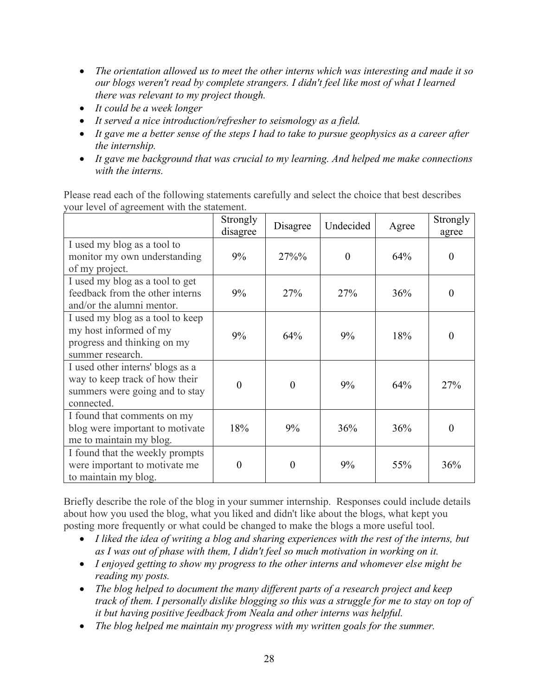- *The orientation allowed us to meet the other interns which was interesting and made it so our blogs weren't read by complete strangers. I didn't feel like most of what I learned there was relevant to my project though.*
- *It could be a week longer*
- *It served a nice introduction/refresher to seismology as a field.*
- *It gave me a better sense of the steps I had to take to pursue geophysics as a career after the internship.*
- *It gave me background that was crucial to my learning. And helped me make connections with the interns.*

Please read each of the following statements carefully and select the choice that best describes your level of agreement with the statement.

|                                                                                                                    | Strongly<br>disagree | Disagree | Undecided | Agree | Strongly<br>agree |
|--------------------------------------------------------------------------------------------------------------------|----------------------|----------|-----------|-------|-------------------|
| I used my blog as a tool to<br>monitor my own understanding<br>of my project.                                      | 9%                   | $27\%%$  | $\theta$  | 64%   | $\theta$          |
| I used my blog as a tool to get<br>feedback from the other interns<br>and/or the alumni mentor.                    | 9%                   | 27%      | 27%       | 36%   | $\overline{0}$    |
| I used my blog as a tool to keep<br>my host informed of my<br>progress and thinking on my<br>summer research.      | 9%                   | 64%      | 9%        | 18%   | 0                 |
| I used other interns' blogs as a<br>way to keep track of how their<br>summers were going and to stay<br>connected. | $\theta$             | $\theta$ | 9%        | 64%   | 27%               |
| I found that comments on my<br>blog were important to motivate<br>me to maintain my blog.                          | 18%                  | 9%       | 36%       | 36%   | 0                 |
| I found that the weekly prompts<br>were important to motivate me<br>to maintain my blog.                           | $\theta$             | $\theta$ | 9%        | 55%   | 36%               |

Briefly describe the role of the blog in your summer internship. Responses could include details about how you used the blog, what you liked and didn't like about the blogs, what kept you posting more frequently or what could be changed to make the blogs a more useful tool.

- *I liked the idea of writing a blog and sharing experiences with the rest of the interns, but as I was out of phase with them, I didn't feel so much motivation in working on it.*
- *I enjoyed getting to show my progress to the other interns and whomever else might be reading my posts.*
- *The blog helped to document the many different parts of a research project and keep track of them. I personally dislike blogging so this was a struggle for me to stay on top of it but having positive feedback from Neala and other interns was helpful.*
- *The blog helped me maintain my progress with my written goals for the summer.*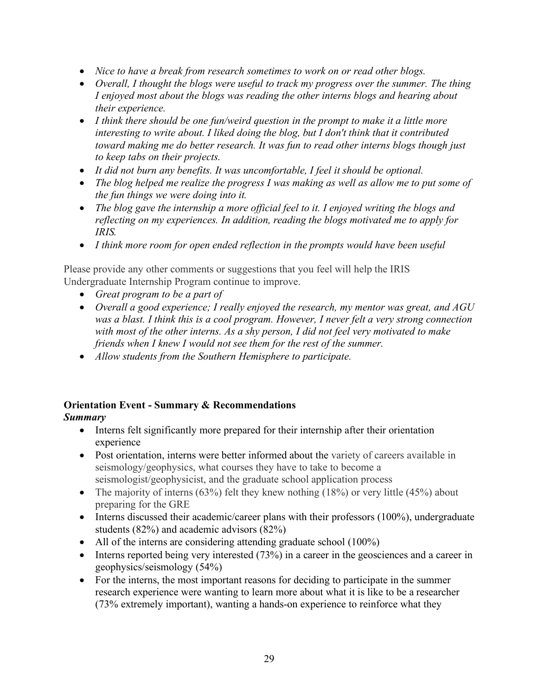- *Nice to have a break from research sometimes to work on or read other blogs.*
- *Overall, I thought the blogs were useful to track my progress over the summer. The thing I enjoyed most about the blogs was reading the other interns blogs and hearing about their experience.*
- *I think there should be one fun/weird question in the prompt to make it a little more interesting to write about. I liked doing the blog, but I don't think that it contributed toward making me do better research. It was fun to read other interns blogs though just to keep tabs on their projects.*
- *It did not burn any benefits. It was uncomfortable, I feel it should be optional.*
- *The blog helped me realize the progress I was making as well as allow me to put some of the fun things we were doing into it.*
- *The blog gave the internship a more official feel to it. I enjoyed writing the blogs and reflecting on my experiences. In addition, reading the blogs motivated me to apply for IRIS.*
- *I think more room for open ended reflection in the prompts would have been useful*

Please provide any other comments or suggestions that you feel will help the IRIS Undergraduate Internship Program continue to improve.

- *Great program to be a part of*
- *Overall a good experience; I really enjoyed the research, my mentor was great, and AGU was a blast. I think this is a cool program. However, I never felt a very strong connection with most of the other interns. As a shy person, I did not feel very motivated to make friends when I knew I would not see them for the rest of the summer.*
- *Allow students from the Southern Hemisphere to participate.*

# **Orientation Event - Summary & Recommendations**

# *Summary*

- Interns felt significantly more prepared for their internship after their orientation experience
- Post orientation, interns were better informed about the variety of careers available in seismology/geophysics, what courses they have to take to become a seismologist/geophysicist, and the graduate school application process
- The majority of interns  $(63%)$  felt they knew nothing  $(18%)$  or very little  $(45%)$  about preparing for the GRE
- Interns discussed their academic/career plans with their professors (100%), undergraduate students (82%) and academic advisors (82%)
- All of the interns are considering attending graduate school (100%)
- Interns reported being very interested  $(73%)$  in a career in the geosciences and a career in geophysics/seismology (54%)
- For the interns, the most important reasons for deciding to participate in the summer research experience were wanting to learn more about what it is like to be a researcher (73% extremely important), wanting a hands-on experience to reinforce what they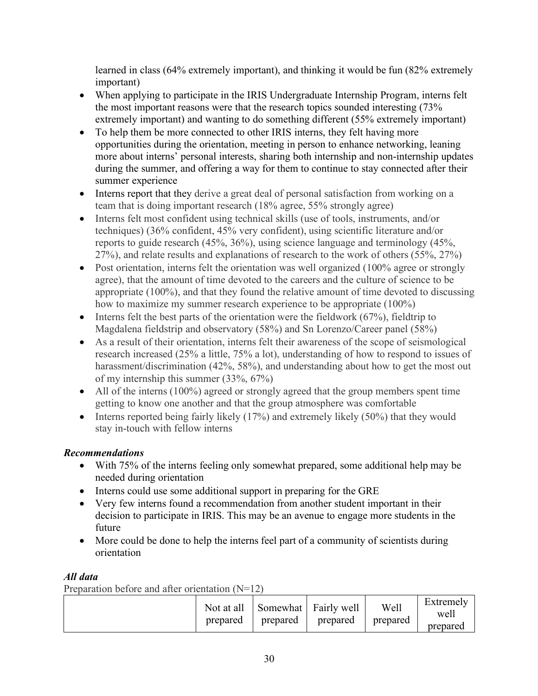learned in class (64% extremely important), and thinking it would be fun (82% extremely important)

- When applying to participate in the IRIS Undergraduate Internship Program, interns felt the most important reasons were that the research topics sounded interesting (73% extremely important) and wanting to do something different (55% extremely important)
- To help them be more connected to other IRIS interns, they felt having more opportunities during the orientation, meeting in person to enhance networking, leaning more about interns' personal interests, sharing both internship and non-internship updates during the summer, and offering a way for them to continue to stay connected after their summer experience
- Interns report that they derive a great deal of personal satisfaction from working on a team that is doing important research (18% agree, 55% strongly agree)
- Interns felt most confident using technical skills (use of tools, instruments, and/or techniques) (36% confident, 45% very confident), using scientific literature and/or reports to guide research (45%, 36%), using science language and terminology (45%, 27%), and relate results and explanations of research to the work of others (55%, 27%)
- Post orientation, interns felt the orientation was well organized (100% agree or strongly agree), that the amount of time devoted to the careers and the culture of science to be appropriate (100%), and that they found the relative amount of time devoted to discussing how to maximize my summer research experience to be appropriate (100%)
- Interns felt the best parts of the orientation were the fieldwork  $(67%)$ , fieldtrip to Magdalena fieldstrip and observatory (58%) and Sn Lorenzo/Career panel (58%)
- As a result of their orientation, interns felt their awareness of the scope of seismological research increased (25% a little, 75% a lot), understanding of how to respond to issues of harassment/discrimination (42%, 58%), and understanding about how to get the most out of my internship this summer (33%, 67%)
- All of the interns (100%) agreed or strongly agreed that the group members spent time getting to know one another and that the group atmosphere was comfortable
- Interns reported being fairly likely  $(17%)$  and extremely likely  $(50%)$  that they would stay in-touch with fellow interns

# *Recommendations*

- With 75% of the interns feeling only somewhat prepared, some additional help may be needed during orientation
- Interns could use some additional support in preparing for the GRE
- Very few interns found a recommendation from another student important in their decision to participate in IRIS. This may be an avenue to engage more students in the future
- More could be done to help the interns feel part of a community of scientists during orientation

# *All data*

Preparation before and after orientation  $(N=12)$ 

| Not at all<br>prepared | Somewhat<br>prepared | Fairly well<br>prepared | Well<br>prepared | Extremely<br>well<br>prepared |
|------------------------|----------------------|-------------------------|------------------|-------------------------------|
|------------------------|----------------------|-------------------------|------------------|-------------------------------|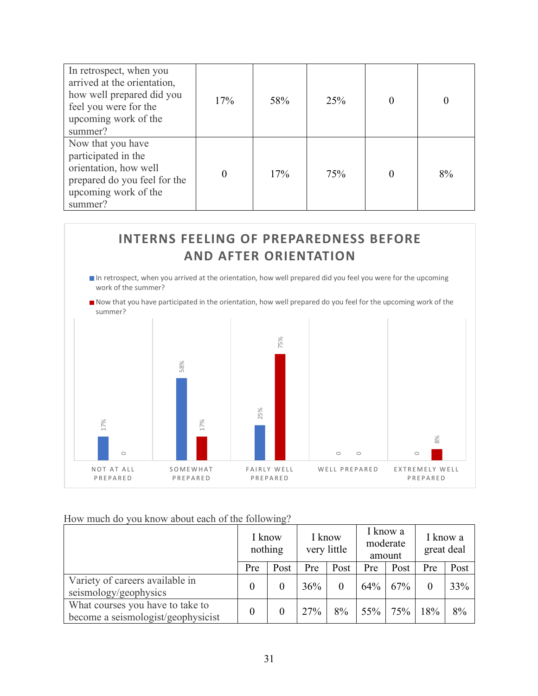| In retrospect, when you<br>arrived at the orientation,<br>how well prepared did you<br>feel you were for the<br>upcoming work of the<br>summer? | 17% | 58% | 25% |    |
|-------------------------------------------------------------------------------------------------------------------------------------------------|-----|-----|-----|----|
| Now that you have<br>participated in the<br>orientation, how well<br>prepared do you feel for the<br>upcoming work of the<br>summer?            |     | 17% | 75% | 8% |



# How much do you know about each of the following?

|                                                                        | I know<br>nothing |          | I know | very little |     | I know a<br>moderate<br>amount | great deal | I know a |
|------------------------------------------------------------------------|-------------------|----------|--------|-------------|-----|--------------------------------|------------|----------|
|                                                                        | Pre               | Post     | Pre    | Post        | Pre | Post                           | Pre        | Post     |
| Variety of careers available in<br>seismology/geophysics               | $\overline{0}$    | $\theta$ | 36%    | $\theta$    | 64% | 67%                            | $\Omega$   | 33%      |
| What courses you have to take to<br>become a seismologist/geophysicist | $\theta$          |          | 27%    | 8%          | 55% | 75%                            | 18%        | 8%       |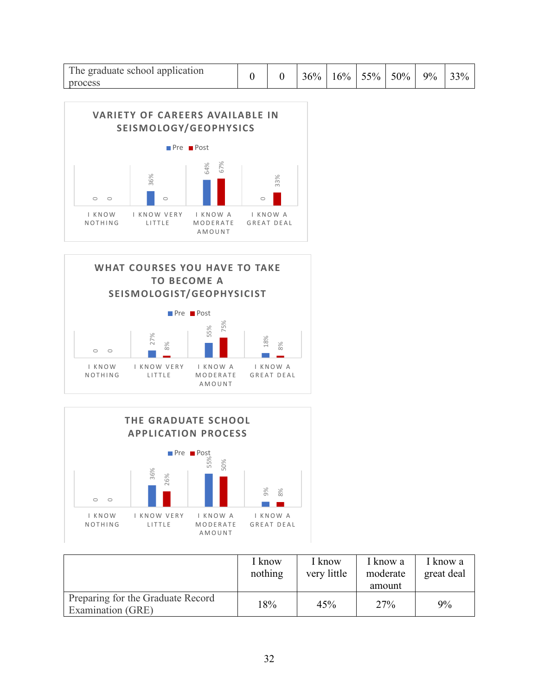| The graduate school application |  | 36% | 16% | $55\%$ | 50% | 9% | 33% |
|---------------------------------|--|-----|-----|--------|-----|----|-----|
| process                         |  |     |     |        |     |    |     |







|                                                        | I know<br>nothing | I know<br>very little | I know a<br>moderate<br>amount | I know a<br>great deal |
|--------------------------------------------------------|-------------------|-----------------------|--------------------------------|------------------------|
| Preparing for the Graduate Record<br>Examination (GRE) | 18%               | 45%                   | 27%                            | 9%                     |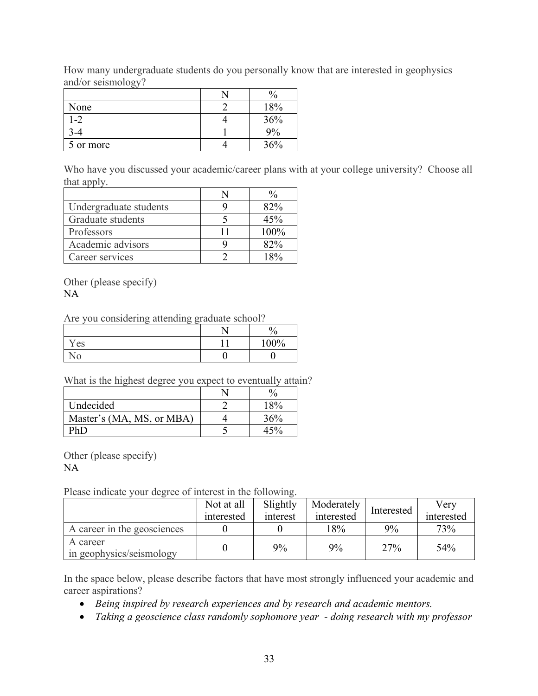How many undergraduate students do you personally know that are interested in geophysics and/or seismology?

| None      | 18% |
|-----------|-----|
| -2        | 36% |
|           | ω   |
| 5 or more | 36% |

Who have you discussed your academic/career plans with at your college university? Choose all that apply.

| Undergraduate students | 82%   |
|------------------------|-------|
| Graduate students      | 45%   |
| Professors             | 100%  |
| Academic advisors      | 82%   |
| Career services        | $R_0$ |

Other (please specify) NA

Are you considering attending graduate school?

|    | - - | $\mathbf{0}$<br>ʹ0 |
|----|-----|--------------------|
| es |     | 100%               |
| ١O |     |                    |

What is the highest degree you expect to eventually attain?

| Undecided                 | 18% |
|---------------------------|-----|
| Master's (MA, MS, or MBA) | 36% |
|                           |     |

Other (please specify)

NA

Please indicate your degree of interest in the following.

|                                      | Not at all<br>interested | Slightly<br>interest | Moderately<br>interested | Interested | Verv<br>interested |
|--------------------------------------|--------------------------|----------------------|--------------------------|------------|--------------------|
| A career in the geosciences          |                          |                      | 18%                      | 9%         | 73%                |
| A career<br>in geophysics/seismology |                          | 9%                   | 9%                       | 27%        | 54%                |

In the space below, please describe factors that have most strongly influenced your academic and career aspirations?

- *Being inspired by research experiences and by research and academic mentors.*
- *Taking a geoscience class randomly sophomore year - doing research with my professor*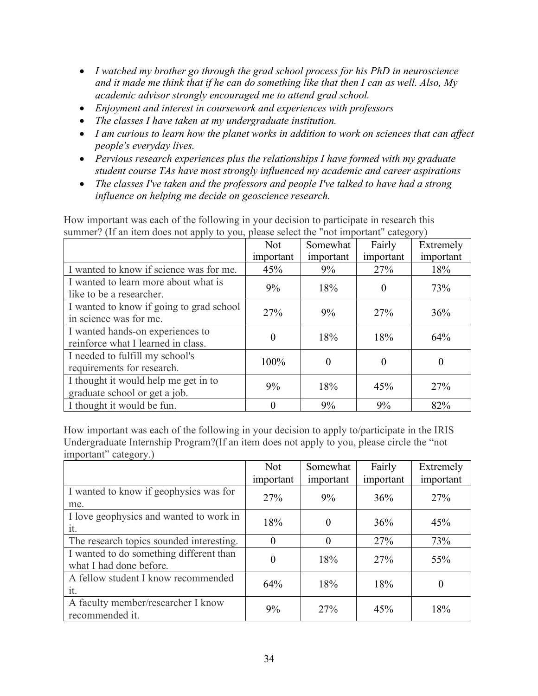- *I watched my brother go through the grad school process for his PhD in neuroscience and it made me think that if he can do something like that then I can as well. Also, My academic advisor strongly encouraged me to attend grad school.*
- *Enjoyment and interest in coursework and experiences with professors*
- *The classes I have taken at my undergraduate institution.*
- *I am curious to learn how the planet works in addition to work on sciences that can affect people's everyday lives.*
- *Pervious research experiences plus the relationships I have formed with my graduate student course TAs have most strongly influenced my academic and career aspirations*
- *The classes I've taken and the professors and people I've talked to have had a strong influence on helping me decide on geoscience research.*

How important was each of the following in your decision to participate in research this summer? (If an item does not apply to you, please select the "not important" category)

|                                                                        | <b>Not</b>     | Somewhat       | Fairly         | Extremely |
|------------------------------------------------------------------------|----------------|----------------|----------------|-----------|
|                                                                        | important      | important      | important      | important |
| I wanted to know if science was for me.                                | 45%            | 9%             | 27%            | 18%       |
| I wanted to learn more about what is<br>like to be a researcher.       | 9%             | 18%            | $\theta$       | 73%       |
| I wanted to know if going to grad school<br>in science was for me.     | 27%            | 9%             | 27%            | 36%       |
| I wanted hands-on experiences to<br>reinforce what I learned in class. | $\overline{0}$ | 18%            | 18%            | 64%       |
| I needed to fulfill my school's<br>requirements for research.          | 100%           | $\overline{0}$ | $\overline{0}$ | 0         |
| I thought it would help me get in to<br>graduate school or get a job.  | 9%             | 18%            | 45%            | 27%       |
| I thought it would be fun.                                             | $\theta$       | 9%             | 9%             | 82%       |

How important was each of the following in your decision to apply to/participate in the IRIS Undergraduate Internship Program?(If an item does not apply to you, please circle the "not important" category.)

|                                                                    | <b>Not</b> | Somewhat       | Fairly    | Extremely |
|--------------------------------------------------------------------|------------|----------------|-----------|-----------|
|                                                                    | important  | important      | important | important |
| I wanted to know if geophysics was for<br>me.                      | 27%        | 9%             | 36%       | 27%       |
| I love geophysics and wanted to work in<br>it.                     | 18%        | 0              | 36%       | 45%       |
| The research topics sounded interesting.                           | $\theta$   | $\overline{0}$ | 27%       | 73%       |
| I wanted to do something different than<br>what I had done before. | $\theta$   | 18%            | 27%       | 55%       |
| A fellow student I know recommended<br>it.                         | 64%        | 18%            | 18%       | $\theta$  |
| A faculty member/researcher I know<br>recommended it.              | 9%         | 27%            | 45%       | 18%       |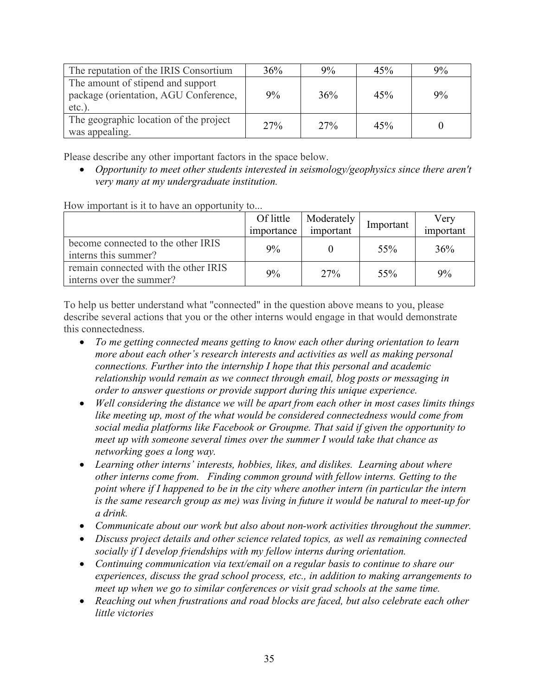| The reputation of the IRIS Consortium                                                   | 36% | 9%  | 45% | 9% |
|-----------------------------------------------------------------------------------------|-----|-----|-----|----|
| The amount of stipend and support<br>package (orientation, AGU Conference,<br>$etc.$ ). | 9%  | 36% | 45% | 9% |
| The geographic location of the project<br>was appealing.                                | 27% | 27% | 45% |    |

Please describe any other important factors in the space below.

• *Opportunity to meet other students interested in seismology/geophysics since there aren't very many at my undergraduate institution.*

How important is it to have an opportunity to...

|                                                                  | Of little<br>importance | Moderately<br>important | Important | Verv<br>important |
|------------------------------------------------------------------|-------------------------|-------------------------|-----------|-------------------|
| become connected to the other IRIS<br>interns this summer?       | 9%                      |                         | 55%       | 36%               |
| remain connected with the other IRIS<br>interns over the summer? | 9%                      | 27%                     | 55%       | 9%                |

To help us better understand what "connected" in the question above means to you, please describe several actions that you or the other interns would engage in that would demonstrate this connectedness.

- *To me getting connected means getting to know each other during orientation to learn more about each other's research interests and activities as well as making personal connections. Further into the internship I hope that this personal and academic relationship would remain as we connect through email, blog posts or messaging in order to answer questions or provide support during this unique experience.*
- *Well considering the distance we will be apart from each other in most cases limits things like meeting up, most of the what would be considered connectedness would come from social media platforms like Facebook or Groupme. That said if given the opportunity to meet up with someone several times over the summer I would take that chance as networking goes a long way.*
- *Learning other interns' interests, hobbies, likes, and dislikes. Learning about where other interns come from. Finding common ground with fellow interns. Getting to the point where if I happened to be in the city where another intern (in particular the intern is the same research group as me) was living in future it would be natural to meet-up for a drink.*
- *Communicate about our work but also about non-work activities throughout the summer.*
- *Discuss project details and other science related topics, as well as remaining connected socially if I develop friendships with my fellow interns during orientation.*
- *Continuing communication via text/email on a regular basis to continue to share our experiences, discuss the grad school process, etc., in addition to making arrangements to meet up when we go to similar conferences or visit grad schools at the same time.*
- *Reaching out when frustrations and road blocks are faced, but also celebrate each other little victories*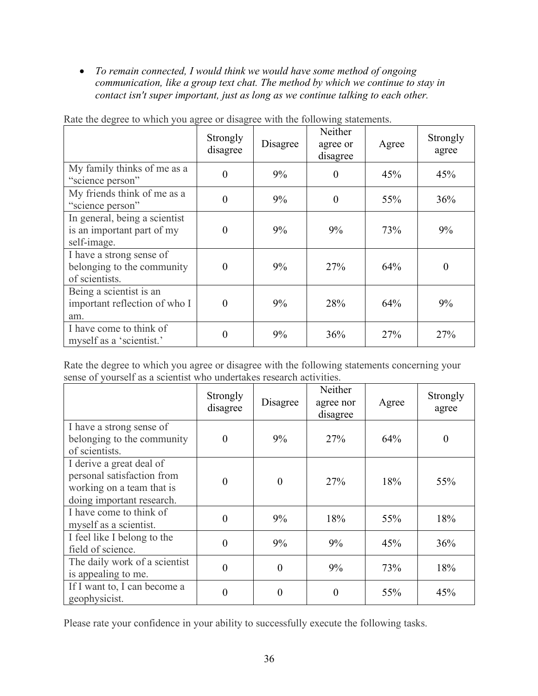• *To remain connected, I would think we would have some method of ongoing communication, like a group text chat. The method by which we continue to stay in contact isn't super important, just as long as we continue talking to each other.*

|                                                                            | Strongly<br>disagree | Disagree | Neither<br>agree or<br>disagree | Agree | Strongly<br>agree |
|----------------------------------------------------------------------------|----------------------|----------|---------------------------------|-------|-------------------|
| My family thinks of me as a<br>"science person"                            | $\theta$             | 9%       | $\theta$                        | 45%   | 45%               |
| My friends think of me as a<br>"science person"                            | $\theta$             | 9%       | $\theta$                        | 55%   | 36%               |
| In general, being a scientist<br>is an important part of my<br>self-image. | $\theta$             | 9%       | 9%                              | 73%   | 9%                |
| I have a strong sense of<br>belonging to the community<br>of scientists.   | $\theta$             | 9%       | 27%                             | 64%   | $\theta$          |
| Being a scientist is an<br>important reflection of who I<br>am.            | $\theta$             | 9%       | 28%                             | 64%   | 9%                |
| I have come to think of<br>myself as a 'scientist.'                        | $\Omega$             | 9%       | 36%                             | 27%   | 27%               |

Rate the degree to which you agree or disagree with the following statements.

Rate the degree to which you agree or disagree with the following statements concerning your sense of yourself as a scientist who undertakes research activities.

|                                                                                                                  | Strongly<br>disagree | Disagree | Neither<br>agree nor<br>disagree | Agree | Strongly<br>agree |
|------------------------------------------------------------------------------------------------------------------|----------------------|----------|----------------------------------|-------|-------------------|
| I have a strong sense of<br>belonging to the community<br>of scientists.                                         | $\theta$             | 9%       | 27%                              | 64%   | $\theta$          |
| I derive a great deal of<br>personal satisfaction from<br>working on a team that is<br>doing important research. | $\theta$             | $\theta$ | 27%                              | 18%   | 55%               |
| I have come to think of<br>myself as a scientist.                                                                | $\Omega$             | 9%       | 18%                              | 55%   | 18%               |
| I feel like I belong to the<br>field of science.                                                                 | $\theta$             | 9%       | 9%                               | 45%   | 36%               |
| The daily work of a scientist<br>is appealing to me.                                                             | $\theta$             | $\theta$ | 9%                               | 73%   | 18%               |
| If I want to, I can become a<br>geophysicist.                                                                    | 0                    | 0        | $\Omega$                         | 55%   | 45%               |

Please rate your confidence in your ability to successfully execute the following tasks.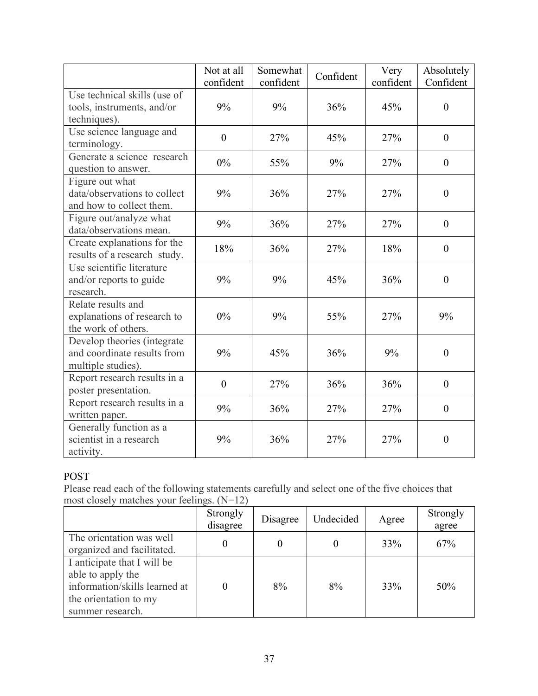|                                                                                  | Not at all<br>confident | Somewhat<br>confident | Confident | Very<br>confident | Absolutely<br>Confident |
|----------------------------------------------------------------------------------|-------------------------|-----------------------|-----------|-------------------|-------------------------|
| Use technical skills (use of<br>tools, instruments, and/or<br>techniques).       | 9%                      | 9%                    | 36%       | 45%               | $\boldsymbol{0}$        |
| Use science language and<br>terminology.                                         | $\boldsymbol{0}$        | 27%                   | 45%       | 27%               | $\boldsymbol{0}$        |
| Generate a science research<br>question to answer.                               | $0\%$                   | 55%                   | 9%        | 27%               | $\overline{0}$          |
| Figure out what<br>data/observations to collect<br>and how to collect them.      | 9%                      | 36%                   | 27%       | 27%               | $\boldsymbol{0}$        |
| Figure out/analyze what<br>data/observations mean.                               | 9%                      | 36%                   | 27%       | 27%               | $\theta$                |
| Create explanations for the<br>results of a research study.                      | 18%                     | 36%                   | 27%       | 18%               | $\overline{0}$          |
| Use scientific literature<br>and/or reports to guide<br>research.                | 9%                      | 9%                    | 45%       | 36%               | $\theta$                |
| Relate results and<br>explanations of research to<br>the work of others.         | $0\%$                   | 9%                    | 55%       | 27%               | 9%                      |
| Develop theories (integrate<br>and coordinate results from<br>multiple studies). | 9%                      | 45%                   | 36%       | 9%                | $\boldsymbol{0}$        |
| Report research results in a<br>poster presentation.                             | $\theta$                | 27%                   | 36%       | 36%               | $\boldsymbol{0}$        |
| Report research results in a<br>written paper.                                   | 9%                      | 36%                   | 27%       | 27%               | $\boldsymbol{0}$        |
| Generally function as a<br>scientist in a research<br>activity.                  | 9%                      | 36%                   | 27%       | 27%               | $\boldsymbol{0}$        |

# POST

Please read each of the following statements carefully and select one of the five choices that most closely matches your feelings. (N=12)

|                                                                                                                                | Strongly<br>disagree | Disagree | Undecided | Agree | Strongly<br>agree |
|--------------------------------------------------------------------------------------------------------------------------------|----------------------|----------|-----------|-------|-------------------|
| The orientation was well<br>organized and facilitated.                                                                         |                      |          |           | 33%   | 67%               |
| I anticipate that I will be<br>able to apply the<br>information/skills learned at<br>the orientation to my<br>summer research. |                      | 8%       | 8%        | 33%   | 50%               |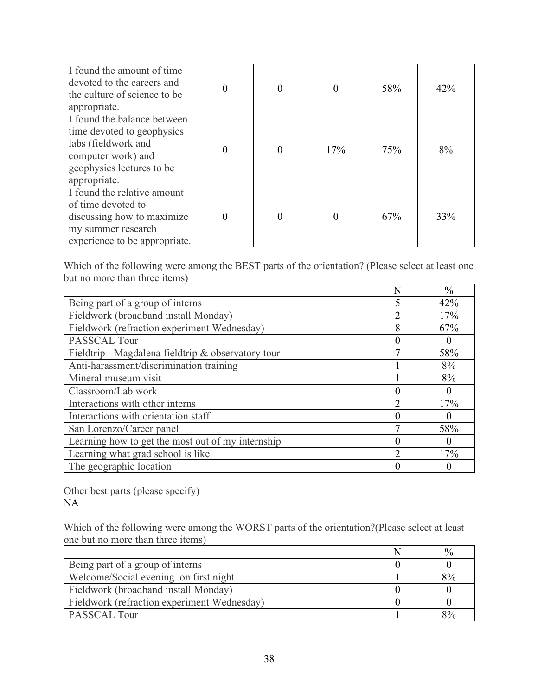| I found the amount of time<br>devoted to the careers and<br>the culture of science to be<br>appropriate.                                            | $\theta$ | $\theta$ |     | 58% | 42% |
|-----------------------------------------------------------------------------------------------------------------------------------------------------|----------|----------|-----|-----|-----|
| I found the balance between<br>time devoted to geophysics<br>labs (fieldwork and<br>computer work) and<br>geophysics lectures to be<br>appropriate. | $\theta$ | $\theta$ | 17% | 75% | 8%  |
| I found the relative amount<br>of time devoted to<br>discussing how to maximize<br>my summer research<br>experience to be appropriate.              | $\theta$ | 0        |     | 67% | 33% |

Which of the following were among the BEST parts of the orientation? (Please select at least one but no more than three items)

|                                                    | N              | $\frac{0}{0}$ |
|----------------------------------------------------|----------------|---------------|
| Being part of a group of interns                   | $\varsigma$    | 42%           |
| Fieldwork (broadband install Monday)               | 2              | 17%           |
| Fieldwork (refraction experiment Wednesday)        | 8              | 67%           |
| PASSCAL Tour                                       | $\left($       | $\theta$      |
| Fieldtrip - Magdalena fieldtrip & observatory tour | ┑              | 58%           |
| Anti-harassment/discrimination training            |                | 8%            |
| Mineral museum visit                               |                | 8%            |
| Classroom/Lab work                                 | $\left($       | $\theta$      |
| Interactions with other interns                    | $\overline{2}$ | 17%           |
| Interactions with orientation staff                | $\left($       | $\theta$      |
| San Lorenzo/Career panel                           | 7              | 58%           |
| Learning how to get the most out of my internship  |                | $\theta$      |
| Learning what grad school is like                  | $\overline{2}$ | 17%           |
| The geographic location                            |                |               |

Other best parts (please specify) NA

Which of the following were among the WORST parts of the orientation?(Please select at least one but no more than three items)

|                                             | $\%$ |
|---------------------------------------------|------|
| Being part of a group of interns            |      |
| Welcome/Social evening on first night       | 8%   |
| Fieldwork (broadband install Monday)        |      |
| Fieldwork (refraction experiment Wednesday) |      |
| PASSCAL Tour                                | 8%   |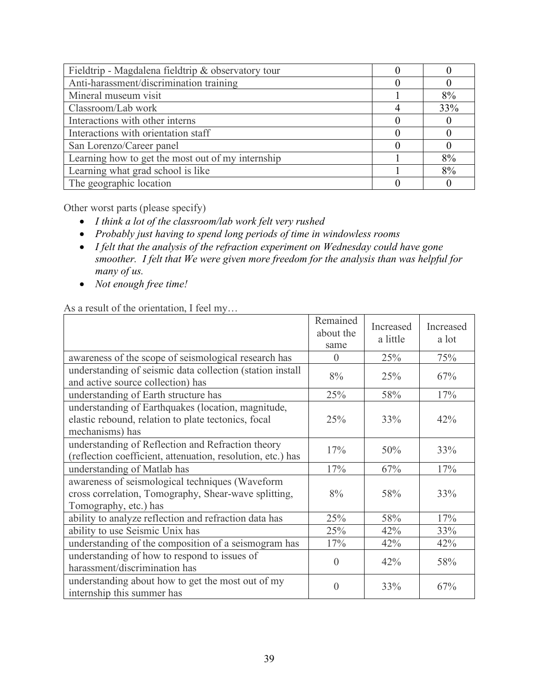| Fieldtrip - Magdalena fieldtrip & observatory tour |     |
|----------------------------------------------------|-----|
| Anti-harassment/discrimination training            |     |
| Mineral museum visit                               | 8%  |
| Classroom/Lab work                                 | 33% |
| Interactions with other interns                    |     |
| Interactions with orientation staff                |     |
| San Lorenzo/Career panel                           |     |
| Learning how to get the most out of my internship  | 8%  |
| Learning what grad school is like                  | 8%  |
| The geographic location                            |     |

Other worst parts (please specify)

- *I think a lot of the classroom/lab work felt very rushed*
- *Probably just having to spend long periods of time in windowless rooms*
- *I felt that the analysis of the refraction experiment on Wednesday could have gone smoother. I felt that We were given more freedom for the analysis than was helpful for many of us.*
- *Not enough free time!*

As a result of the orientation, I feel my…

|                                                                                                                                  | Remained<br>about the<br>same | Increased<br>a little | Increased<br>a lot |
|----------------------------------------------------------------------------------------------------------------------------------|-------------------------------|-----------------------|--------------------|
| awareness of the scope of seismological research has                                                                             | $\Omega$                      | 25%                   | 75%                |
| understanding of seismic data collection (station install<br>and active source collection) has                                   | 8%                            | 25%                   | 67%                |
| understanding of Earth structure has                                                                                             | 25%                           | 58%                   | 17%                |
| understanding of Earthquakes (location, magnitude,<br>elastic rebound, relation to plate tectonics, focal<br>mechanisms) has     | 25%                           | 33%                   | 42%                |
| understanding of Reflection and Refraction theory<br>(reflection coefficient, attenuation, resolution, etc.) has                 | 17%                           | 50%                   | 33%                |
| understanding of Matlab has                                                                                                      | 17%                           | 67%                   | 17%                |
| awareness of seismological techniques (Waveform<br>cross correlation, Tomography, Shear-wave splitting,<br>Tomography, etc.) has | 8%                            | 58%                   | 33%                |
| ability to analyze reflection and refraction data has                                                                            | 25%                           | 58%                   | 17%                |
| ability to use Seismic Unix has                                                                                                  | 25%                           | 42%                   | 33%                |
| understanding of the composition of a seismogram has                                                                             | 17%                           | 42%                   | 42%                |
| understanding of how to respond to issues of<br>harassment/discrimination has                                                    | $\theta$                      | 42%                   | 58%                |
| understanding about how to get the most out of my<br>internship this summer has                                                  | $\overline{0}$                | 33%                   | 67%                |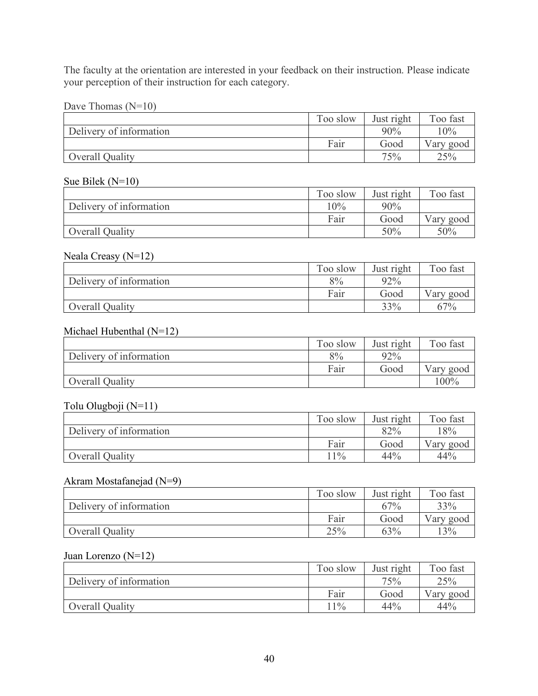The faculty at the orientation are interested in your feedback on their instruction. Please indicate your perception of their instruction for each category.

| Dave Thomas $(N=10)$ |
|----------------------|
|----------------------|

|                         | Too slow | Just right | Too fast  |
|-------------------------|----------|------------|-----------|
| Delivery of information |          | 90%        | 0%        |
|                         | Fair     | Good       | Vary good |
| Overall Quality         |          | 75%        | 25%       |

# Sue Bilek (N=10)

|                         | Too slow | Just right | Too fast  |
|-------------------------|----------|------------|-----------|
| Delivery of information | 10%      | 90%        |           |
|                         | Fair     | Good       | Vary good |
| Overall Quality         |          | 50%        | 50%       |

#### Neala Creasy (N=12)

|                         | Too slow | Just right | Too fast  |
|-------------------------|----------|------------|-----------|
| Delivery of information | 8%       | 92%        |           |
|                         | Fair     | Good       | Vary good |
| Overall Quality         |          | 33%        | 67%       |

#### Michael Hubenthal (N=12)

|                         | Too slow | Just right | Too fast  |
|-------------------------|----------|------------|-----------|
| Delivery of information | 8%       | 92%        |           |
|                         | Fair     | Good       | Vary good |
| Overall Quality         |          |            | 100%      |

#### Tolu Olugboji (N=11)

|                         | Too slow | Just right | Too fast  |
|-------------------------|----------|------------|-----------|
| Delivery of information |          | 82%        | 8%        |
|                         | Fair     | Good       | Vary good |
| <b>Overall Quality</b>  | $1\%$    | 44%        | 44%       |

# Akram Mostafanejad (N=9)

|                         | Too slow | Just right | Too fast  |
|-------------------------|----------|------------|-----------|
| Delivery of information |          | 67%        | 33%       |
|                         | Fair     | Good       | Vary good |
| Overall Quality         | 25%      | 63%        | 3%        |

#### Juan Lorenzo (N=12)

|                         | Too slow | Just right | Too fast  |
|-------------------------|----------|------------|-----------|
| Delivery of information |          | 75%        | 25%       |
|                         | Fair     | Good       | Vary good |
| Overall Quality         | $11\%$   | 44%        | 44%       |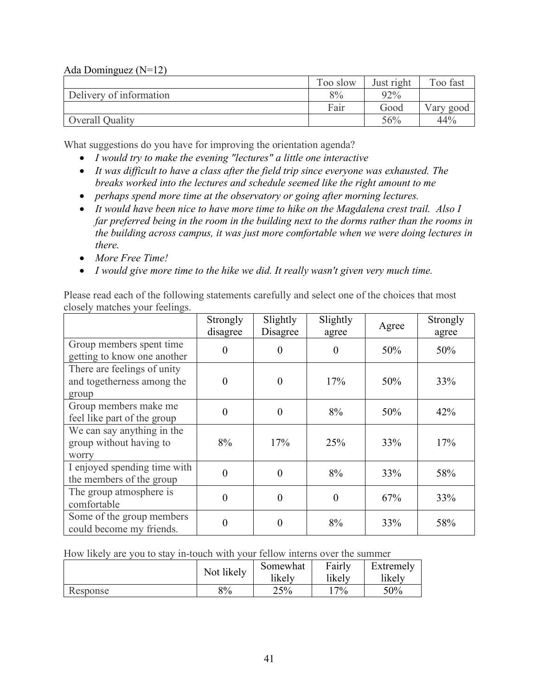Ada Dominguez (N=12)

|                         | Too slow | Just right | Too fast  |
|-------------------------|----------|------------|-----------|
| Delivery of information | 8%       | 92%        |           |
|                         | Fair     | Good       | Vary good |
| Overall Quality         |          | 56%        | 44%       |

What suggestions do you have for improving the orientation agenda?

- *I would try to make the evening "lectures" a little one interactive*
- *It was difficult to have a class after the field trip since everyone was exhausted. The breaks worked into the lectures and schedule seemed like the right amount to me*
- *perhaps spend more time at the observatory or going after morning lectures.*
- *It would have been nice to have more time to hike on the Magdalena crest trail. Also I far preferred being in the room in the building next to the dorms rather than the rooms in the building across campus, it was just more comfortable when we were doing lectures in there.*
- *More Free Time!*
- *I would give more time to the hike we did. It really wasn't given very much time.*

Please read each of the following statements carefully and select one of the choices that most closely matches your feelings.

|                                                                    | Strongly<br>disagree | Slightly<br>Disagree | Slightly<br>agree | Agree | Strongly<br>agree |
|--------------------------------------------------------------------|----------------------|----------------------|-------------------|-------|-------------------|
| Group members spent time<br>getting to know one another            | 0                    | 0                    | $\Omega$          | 50%   | 50%               |
| There are feelings of unity<br>and togetherness among the<br>group | $\Omega$             | $\Omega$             | 17%               | 50%   | 33%               |
| Group members make me<br>feel like part of the group               | $\Omega$             | $\theta$             | 8%                | 50%   | 42%               |
| We can say anything in the<br>group without having to<br>worry     | 8%                   | 17%                  | 25%               | 33%   | 17%               |
| I enjoyed spending time with<br>the members of the group           | $\theta$             | $\theta$             | 8%                | 33%   | 58%               |
| The group atmosphere is<br>comfortable                             | $\theta$             | $\theta$             | $\theta$          | 67%   | 33%               |
| Some of the group members<br>could become my friends.              | 0                    | 0                    | 8%                | 33%   | 58%               |

How likely are you to stay in-touch with your fellow interns over the summer

|          | Not likely | Somewhat<br>likely | Fairly<br>likely | Extremely<br>likely |
|----------|------------|--------------------|------------------|---------------------|
| Response | 8%         | 25%                | $17\%$           | 50%                 |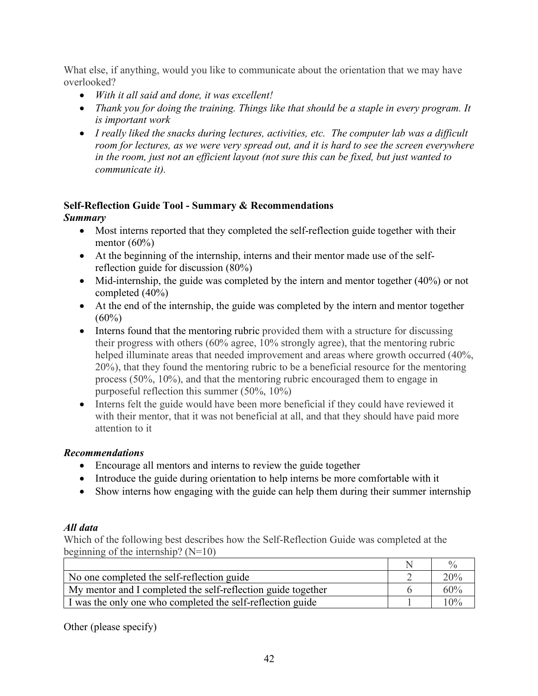What else, if anything, would you like to communicate about the orientation that we may have overlooked?

- *With it all said and done, it was excellent!*
- *Thank you for doing the training. Things like that should be a staple in every program. It is important work*
- *I really liked the snacks during lectures, activities, etc. The computer lab was a difficult room for lectures, as we were very spread out, and it is hard to see the screen everywhere in the room, just not an efficient layout (not sure this can be fixed, but just wanted to communicate it).*

# **Self-Reflection Guide Tool - Summary & Recommendations**

# *Summary*

- Most interns reported that they completed the self-reflection guide together with their mentor  $(60\%)$
- At the beginning of the internship, interns and their mentor made use of the selfreflection guide for discussion (80%)
- Mid-internship, the guide was completed by the intern and mentor together (40%) or not completed (40%)
- At the end of the internship, the guide was completed by the intern and mentor together  $(60\%)$
- Interns found that the mentoring rubric provided them with a structure for discussing their progress with others (60% agree, 10% strongly agree), that the mentoring rubric helped illuminate areas that needed improvement and areas where growth occurred (40%, 20%), that they found the mentoring rubric to be a beneficial resource for the mentoring process (50%, 10%), and that the mentoring rubric encouraged them to engage in purposeful reflection this summer (50%, 10%)
- Interns felt the guide would have been more beneficial if they could have reviewed it with their mentor, that it was not beneficial at all, and that they should have paid more attention to it

# *Recommendations*

- Encourage all mentors and interns to review the guide together
- Introduce the guide during orientation to help interns be more comfortable with it
- Show interns how engaging with the guide can help them during their summer internship

# *All data*

Which of the following best describes how the Self-Reflection Guide was completed at the beginning of the internship?  $(N=10)$ 

|                                                              | $^{0}/_{0}$ |
|--------------------------------------------------------------|-------------|
| No one completed the self-reflection guide                   | 20%         |
| My mentor and I completed the self-reflection guide together | 60%         |
| I was the only one who completed the self-reflection guide   | 10%         |

Other (please specify)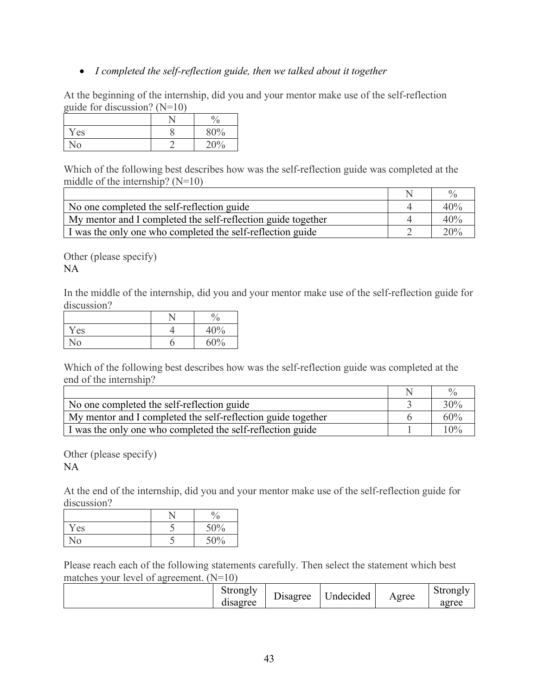# • *I completed the self-reflection guide, then we talked about it together*

At the beginning of the internship, did you and your mentor make use of the self-reflection guide for discussion? (N=10)

|                           | $\mathbf{0}$<br>′0 |
|---------------------------|--------------------|
| Yes                       | 80%                |
| $\overline{\mathsf{N}}_0$ | 20%                |

Which of the following best describes how was the self-reflection guide was completed at the middle of the internship?  $(N=10)$ 

|                                                              | 0/2 |
|--------------------------------------------------------------|-----|
| No one completed the self-reflection guide                   | 40% |
| My mentor and I completed the self-reflection guide together | 40% |
| I was the only one who completed the self-reflection guide   | 20% |

Other (please specify) NA

In the middle of the internship, did you and your mentor make use of the self-reflection guide for discussion?

|                        | $\frac{0}{0}$ |
|------------------------|---------------|
| Yes                    | 40%           |
| $\overline{\text{No}}$ | 60%           |

Which of the following best describes how was the self-reflection guide was completed at the end of the internship?

|                                                              | 0/2 |
|--------------------------------------------------------------|-----|
| No one completed the self-reflection guide                   | 30% |
| My mentor and I completed the self-reflection guide together | 60% |
| I was the only one who completed the self-reflection guide   | 10% |

Other (please specify) NA

At the end of the internship, did you and your mentor make use of the self-reflection guide for discussion?

|            | $\mathbf{0}$<br>$\alpha$ |
|------------|--------------------------|
| Yes        | 50%                      |
| $\sqrt{0}$ | 50%                      |

Please reach each of the following statements carefully. Then select the statement which best matches your level of agreement. (N=10)

|  | Strongly<br>disagree | Disagree | Indecided | Agree | strongly<br>agree |
|--|----------------------|----------|-----------|-------|-------------------|
|--|----------------------|----------|-----------|-------|-------------------|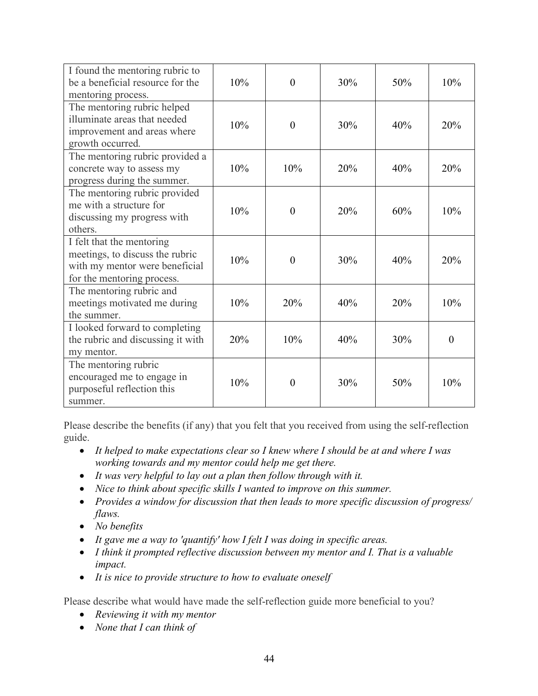| I found the mentoring rubric to<br>be a beneficial resource for the<br>mentoring process.                                    | 10% | $\overline{0}$ | 30% | 50% | 10%            |
|------------------------------------------------------------------------------------------------------------------------------|-----|----------------|-----|-----|----------------|
| The mentoring rubric helped<br>illuminate areas that needed<br>improvement and areas where<br>growth occurred.               | 10% | $\theta$       | 30% | 40% | 20%            |
| The mentoring rubric provided a<br>concrete way to assess my<br>progress during the summer.                                  | 10% | 10%            | 20% | 40% | 20%            |
| The mentoring rubric provided<br>me with a structure for<br>discussing my progress with<br>others.                           | 10% | $\overline{0}$ | 20% | 60% | 10%            |
| I felt that the mentoring<br>meetings, to discuss the rubric<br>with my mentor were beneficial<br>for the mentoring process. | 10% | $\overline{0}$ | 30% | 40% | 20%            |
| The mentoring rubric and<br>meetings motivated me during<br>the summer.                                                      | 10% | 20%            | 40% | 20% | 10%            |
| I looked forward to completing<br>the rubric and discussing it with<br>my mentor.                                            | 20% | 10%            | 40% | 30% | $\overline{0}$ |
| The mentoring rubric<br>encouraged me to engage in<br>purposeful reflection this<br>summer.                                  | 10% | $\theta$       | 30% | 50% | 10%            |

Please describe the benefits (if any) that you felt that you received from using the self-reflection guide.

- *It helped to make expectations clear so I knew where I should be at and where I was working towards and my mentor could help me get there.*
- *It was very helpful to lay out a plan then follow through with it.*
- *Nice to think about specific skills I wanted to improve on this summer.*
- *Provides a window for discussion that then leads to more specific discussion of progress/ flaws.*
- *No benefits*
- *It gave me a way to 'quantify' how I felt I was doing in specific areas.*
- *I think it prompted reflective discussion between my mentor and I. That is a valuable impact.*
- *It is nice to provide structure to how to evaluate oneself*

Please describe what would have made the self-reflection guide more beneficial to you?

- *Reviewing it with my mentor*
- *None that I can think of*